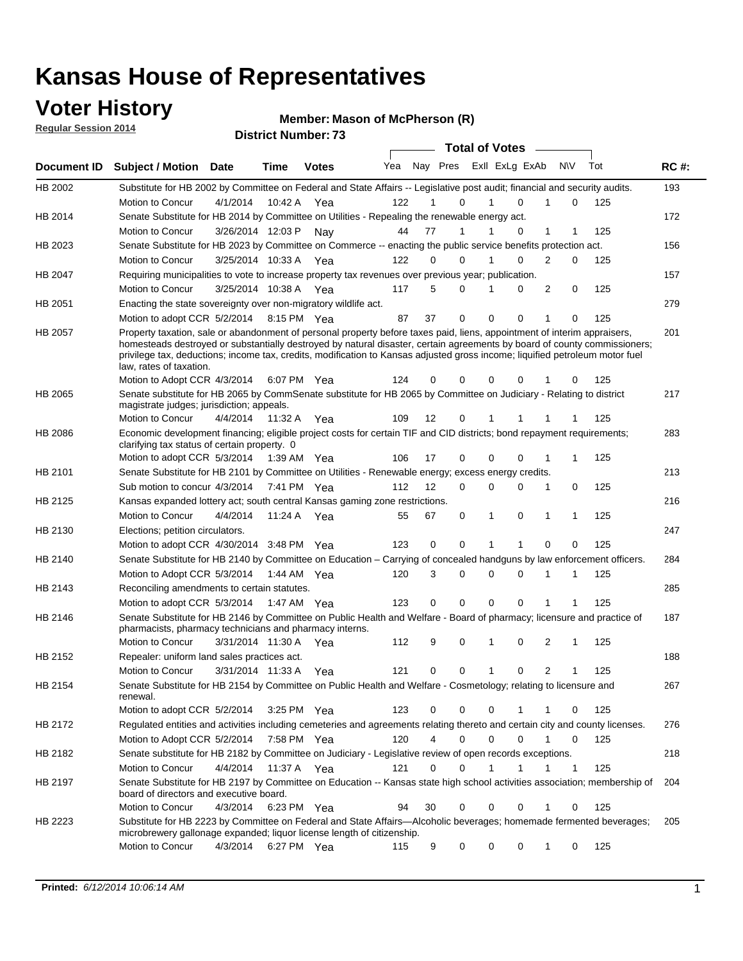### **Voter History**

**Regular Session 2014**

#### **Member: Mason of McPherson (R)**

| <b>District Number: 73</b> |
|----------------------------|
|                            |

|             | <b>DISUILLINUIIIDEL.</b><br><b>Total of Votes</b>                                                                                                                                                                                                                                    |                       |             |              |     |    |                               |  |              |              |              |              |     |             |
|-------------|--------------------------------------------------------------------------------------------------------------------------------------------------------------------------------------------------------------------------------------------------------------------------------------|-----------------------|-------------|--------------|-----|----|-------------------------------|--|--------------|--------------|--------------|--------------|-----|-------------|
| Document ID | <b>Subject / Motion Date</b>                                                                                                                                                                                                                                                         |                       | Time        | <b>Votes</b> | Yea |    | Nay Pres ExII ExLg ExAb       |  |              |              |              | <b>NV</b>    | Tot | <b>RC#:</b> |
| HB 2002     | Substitute for HB 2002 by Committee on Federal and State Affairs -- Legislative post audit; financial and security audits.                                                                                                                                                           |                       |             |              |     |    |                               |  |              |              |              |              |     | 193         |
|             | Motion to Concur                                                                                                                                                                                                                                                                     | 4/1/2014              | 10:42 A     | Yea          | 122 |    | 0                             |  | 1            | 0            |              | 0            | 125 |             |
| HB 2014     | Senate Substitute for HB 2014 by Committee on Utilities - Repealing the renewable energy act.                                                                                                                                                                                        |                       |             |              |     |    |                               |  |              |              |              |              |     | 172         |
|             | Motion to Concur                                                                                                                                                                                                                                                                     | 3/26/2014 12:03 P     |             | Nav          | 44  | 77 | 1                             |  |              | 0            | 1            |              | 125 |             |
| HB 2023     | Senate Substitute for HB 2023 by Committee on Commerce -- enacting the public service benefits protection act.                                                                                                                                                                       |                       |             |              |     |    |                               |  |              |              |              |              |     | 156         |
|             | Motion to Concur                                                                                                                                                                                                                                                                     | 3/25/2014 10:33 A Yea |             |              | 122 |    | 0<br>0                        |  | 1            | 0            | 2            | 0            | 125 |             |
| HB 2047     | Requiring municipalities to vote to increase property tax revenues over previous year; publication.                                                                                                                                                                                  |                       |             |              |     |    |                               |  |              |              |              |              |     | 157         |
|             | Motion to Concur                                                                                                                                                                                                                                                                     | 3/25/2014 10:38 A Yea |             |              | 117 |    | 5<br>0                        |  |              | 0            | 2            | 0            | 125 |             |
| HB 2051     | Enacting the state sovereignty over non-migratory wildlife act.                                                                                                                                                                                                                      |                       |             |              |     |    |                               |  |              |              |              |              |     | 279         |
|             | Motion to adopt CCR 5/2/2014                                                                                                                                                                                                                                                         |                       | 8:15 PM Yea |              | 87  | 37 | $\mathbf 0$                   |  | $\mathbf 0$  | 0            | 1            | 0            | 125 |             |
| HB 2057     | Property taxation, sale or abandonment of personal property before taxes paid, liens, appointment of interim appraisers,                                                                                                                                                             |                       |             |              |     |    |                               |  |              |              |              |              |     | 201         |
|             | homesteads destroyed or substantially destroyed by natural disaster, certain agreements by board of county commissioners;<br>privilege tax, deductions; income tax, credits, modification to Kansas adjusted gross income; liquified petroleum motor fuel<br>law, rates of taxation. |                       |             |              |     |    |                               |  |              |              |              |              |     |             |
|             | Motion to Adopt CCR 4/3/2014                                                                                                                                                                                                                                                         |                       |             | 6:07 PM Yea  | 124 |    | 0<br>0                        |  | 0            | 0            |              | 0            | 125 |             |
| HB 2065     | Senate substitute for HB 2065 by CommSenate substitute for HB 2065 by Committee on Judiciary - Relating to district<br>magistrate judges; jurisdiction; appeals.                                                                                                                     |                       |             |              |     |    |                               |  |              |              |              |              |     | 217         |
|             | Motion to Concur                                                                                                                                                                                                                                                                     | 4/4/2014              | 11:32 A     | Yea          | 109 | 12 | $\mathbf 0$                   |  | 1            |              |              |              | 125 |             |
| HB 2086     | Economic development financing; eligible project costs for certain TIF and CID districts; bond repayment requirements;<br>clarifying tax status of certain property. 0                                                                                                               |                       |             |              |     |    |                               |  |              |              |              |              |     | 283         |
|             | Motion to adopt CCR 5/3/2014                                                                                                                                                                                                                                                         |                       | 1:39 AM Yea |              | 106 | 17 | $\mathbf 0$                   |  | 0            | 0            | 1            | 1            | 125 |             |
| HB 2101     | Senate Substitute for HB 2101 by Committee on Utilities - Renewable energy; excess energy credits.                                                                                                                                                                                   |                       |             |              |     |    |                               |  |              |              |              |              |     | 213         |
|             | Sub motion to concur 4/3/2014                                                                                                                                                                                                                                                        |                       |             | 7:41 PM Yea  | 112 | 12 | 0                             |  | 0            | 0            | 1            | 0            | 125 |             |
| HB 2125     | Kansas expanded lottery act; south central Kansas gaming zone restrictions.                                                                                                                                                                                                          |                       |             |              |     |    |                               |  |              |              |              |              |     | 216         |
|             | Motion to Concur                                                                                                                                                                                                                                                                     | 4/4/2014              | 11:24 A     | Yea          | 55  | 67 | 0                             |  | 1            | 0            | 1            | 1            | 125 |             |
| HB 2130     | Elections; petition circulators.                                                                                                                                                                                                                                                     |                       |             |              |     |    |                               |  |              |              |              |              |     | 247         |
|             | Motion to adopt CCR 4/30/2014 3:48 PM Yea                                                                                                                                                                                                                                            |                       |             |              | 123 |    | 0<br>0                        |  | 1            | 1            | 0            | 0            | 125 |             |
| HB 2140     | Senate Substitute for HB 2140 by Committee on Education – Carrying of concealed handguns by law enforcement officers.                                                                                                                                                                |                       |             |              |     |    |                               |  |              |              |              |              |     | 284         |
|             | Motion to Adopt CCR 5/3/2014                                                                                                                                                                                                                                                         |                       |             | 1:44 AM Yea  | 120 |    | $\mathbf 0$<br>3              |  | $\mathbf 0$  | $\mathbf 0$  | 1            | 1            | 125 |             |
| HB 2143     | Reconciling amendments to certain statutes.                                                                                                                                                                                                                                          |                       |             |              |     |    |                               |  |              |              |              |              |     | 285         |
|             | Motion to adopt CCR 5/3/2014                                                                                                                                                                                                                                                         |                       | 1:47 AM Yea |              | 123 |    | $\mathbf 0$<br>0              |  | $\mathbf 0$  | $\Omega$     | 1            |              | 125 |             |
| HB 2146     | Senate Substitute for HB 2146 by Committee on Public Health and Welfare - Board of pharmacy; licensure and practice of<br>pharmacists, pharmacy technicians and pharmacy interns.                                                                                                    |                       |             |              |     |    |                               |  |              |              |              |              |     | 187         |
|             | Motion to Concur                                                                                                                                                                                                                                                                     | 3/31/2014 11:30 A     |             | Yea          | 112 |    | 9<br>0                        |  | 1            | 0            | 2            | 1            | 125 |             |
| HB 2152     | Repealer: uniform land sales practices act.                                                                                                                                                                                                                                          |                       |             |              |     |    |                               |  |              |              |              |              |     | 188         |
|             | Motion to Concur                                                                                                                                                                                                                                                                     | 3/31/2014 11:33 A     |             | Yea          | 121 |    | $\mathbf 0$<br>0              |  | 1            | 0            | 2            | 1            | 125 |             |
| HB 2154     | Senate Substitute for HB 2154 by Committee on Public Health and Welfare - Cosmetology; relating to licensure and<br>renewal.                                                                                                                                                         |                       |             |              |     |    |                               |  |              |              |              |              |     | 267         |
|             | Motion to adopt CCR 5/2/2014                                                                                                                                                                                                                                                         |                       | 3:25 PM Yea |              | 123 |    | 0<br>0                        |  | $\mathbf 0$  |              | 1            | 0            | 125 |             |
| HB 2172     | Regulated entities and activities including cemeteries and agreements relating thereto and certain city and county licenses.                                                                                                                                                         |                       |             |              |     |    |                               |  |              |              |              |              |     | 276         |
|             | Motion to Adopt CCR 5/2/2014                                                                                                                                                                                                                                                         |                       |             | 7:58 PM Yea  | 120 |    | $\overline{4}$<br>$\mathbf 0$ |  | $\mathbf 0$  | $\Omega$     | $\mathbf{1}$ | 0            | 125 |             |
| HB 2182     | Senate substitute for HB 2182 by Committee on Judiciary - Legislative review of open records exceptions.                                                                                                                                                                             |                       |             |              |     |    |                               |  |              |              |              |              |     | 218         |
|             | Motion to Concur                                                                                                                                                                                                                                                                     | 4/4/2014              |             | 11:37 A Yea  | 121 |    | 0<br>$\mathbf 0$              |  | $\mathbf{1}$ | $\mathbf{1}$ | 1            | $\mathbf{1}$ | 125 |             |
| HB 2197     | Senate Substitute for HB 2197 by Committee on Education -- Kansas state high school activities association; membership of<br>board of directors and executive board.                                                                                                                 |                       |             |              |     |    |                               |  |              |              |              |              |     | 204         |
|             | Motion to Concur                                                                                                                                                                                                                                                                     | 4/3/2014              |             | 6:23 PM Yea  | 94  | 30 | 0                             |  | 0            | 0            | 1            | 0            | 125 |             |
| HB 2223     | Substitute for HB 2223 by Committee on Federal and State Affairs-Alcoholic beverages; homemade fermented beverages;<br>microbrewery gallonage expanded; liquor license length of citizenship.                                                                                        |                       |             |              |     |    |                               |  |              |              |              |              |     | 205         |
|             | Motion to Concur                                                                                                                                                                                                                                                                     | 4/3/2014              |             | 6:27 PM Yea  | 115 |    | 0<br>9                        |  | 0            | 0            | 1            | 0            | 125 |             |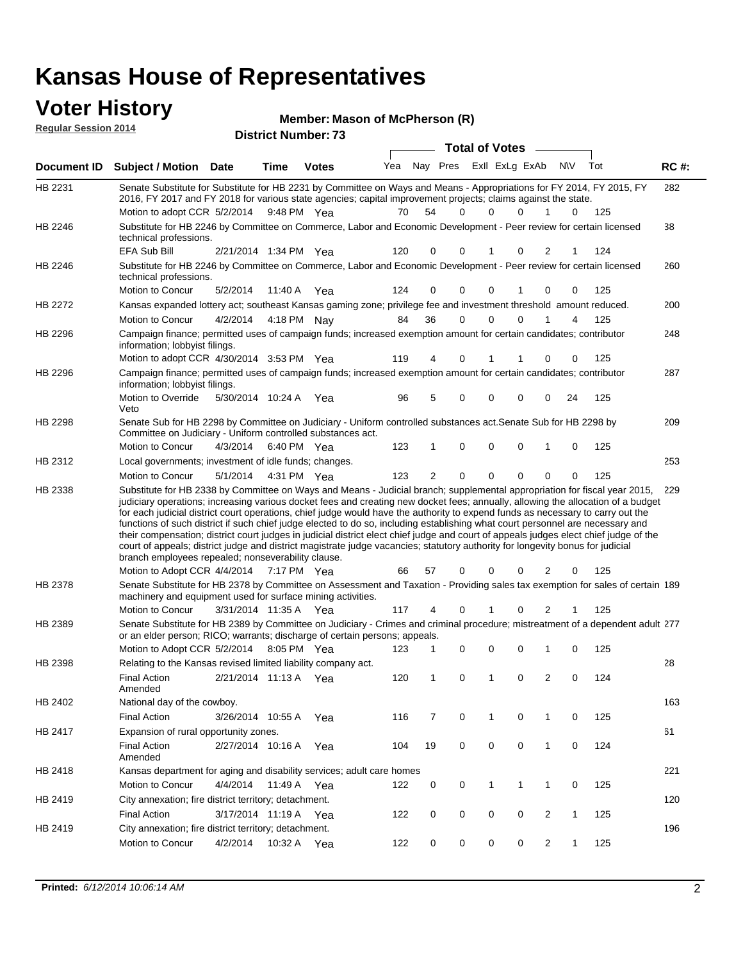#### **Voter History Regular Session 2014**

| noguidi ocoololi 4014 |                                                                                                                                                                                                                                                                                                                                                                                                                                                                                                                                                                                                                                                                                                                                        |                       |         | <b>District Number: 73</b> |     |          |             |                       |                |                |              |     |             |
|-----------------------|----------------------------------------------------------------------------------------------------------------------------------------------------------------------------------------------------------------------------------------------------------------------------------------------------------------------------------------------------------------------------------------------------------------------------------------------------------------------------------------------------------------------------------------------------------------------------------------------------------------------------------------------------------------------------------------------------------------------------------------|-----------------------|---------|----------------------------|-----|----------|-------------|-----------------------|----------------|----------------|--------------|-----|-------------|
|                       |                                                                                                                                                                                                                                                                                                                                                                                                                                                                                                                                                                                                                                                                                                                                        |                       |         |                            |     |          |             | <b>Total of Votes</b> |                |                |              |     |             |
| Document ID           | <b>Subject / Motion Date</b>                                                                                                                                                                                                                                                                                                                                                                                                                                                                                                                                                                                                                                                                                                           |                       | Time    | <b>Votes</b>               | Yea | Nay Pres |             |                       | Exll ExLg ExAb | N\V            |              | Tot | <b>RC#:</b> |
| HB 2231               | Senate Substitute for Substitute for HB 2231 by Committee on Ways and Means - Appropriations for FY 2014, FY 2015, FY<br>2016, FY 2017 and FY 2018 for various state agencies; capital improvement projects; claims against the state.                                                                                                                                                                                                                                                                                                                                                                                                                                                                                                 |                       |         |                            |     |          |             |                       |                |                |              |     | 282         |
|                       | Motion to adopt CCR 5/2/2014 9:48 PM Yea                                                                                                                                                                                                                                                                                                                                                                                                                                                                                                                                                                                                                                                                                               |                       |         |                            | 70  | 54       | 0           | $\Omega$              | 0              |                | 0            | 125 |             |
| HB 2246               | Substitute for HB 2246 by Committee on Commerce, Labor and Economic Development - Peer review for certain licensed<br>technical professions.                                                                                                                                                                                                                                                                                                                                                                                                                                                                                                                                                                                           |                       |         |                            |     |          |             |                       |                |                |              |     | 38          |
|                       | <b>EFA Sub Bill</b>                                                                                                                                                                                                                                                                                                                                                                                                                                                                                                                                                                                                                                                                                                                    | 2/21/2014 1:34 PM Yea |         |                            | 120 | 0        | 0           | 1                     | 0              | 2              |              | 124 |             |
| HB 2246               | Substitute for HB 2246 by Committee on Commerce, Labor and Economic Development - Peer review for certain licensed<br>technical professions.                                                                                                                                                                                                                                                                                                                                                                                                                                                                                                                                                                                           |                       |         |                            |     |          |             |                       |                |                |              |     | 260         |
|                       | Motion to Concur                                                                                                                                                                                                                                                                                                                                                                                                                                                                                                                                                                                                                                                                                                                       | 5/2/2014              | 11:40 A | Yea                        | 124 | 0        | $\Omega$    | $\Omega$              | -1             | $\Omega$       | 0            | 125 |             |
| HB 2272               | Kansas expanded lottery act; southeast Kansas gaming zone; privilege fee and investment threshold amount reduced.                                                                                                                                                                                                                                                                                                                                                                                                                                                                                                                                                                                                                      |                       |         |                            |     |          |             |                       |                |                |              |     | 200         |
|                       | Motion to Concur                                                                                                                                                                                                                                                                                                                                                                                                                                                                                                                                                                                                                                                                                                                       | 4/2/2014              |         | 4:18 PM Nay                | 84  | 36       | 0           | 0                     | $\Omega$       |                | 4            | 125 |             |
| HB 2296               | Campaign finance; permitted uses of campaign funds; increased exemption amount for certain candidates; contributor<br>information; lobbyist filings.                                                                                                                                                                                                                                                                                                                                                                                                                                                                                                                                                                                   |                       |         |                            |     |          |             |                       |                |                |              |     | 248         |
|                       | Motion to adopt CCR 4/30/2014 3:53 PM Yea                                                                                                                                                                                                                                                                                                                                                                                                                                                                                                                                                                                                                                                                                              |                       |         |                            | 119 | 4        | 0           |                       |                | 0              | 0            | 125 |             |
| HB 2296               | Campaign finance; permitted uses of campaign funds; increased exemption amount for certain candidates; contributor<br>information; lobbyist filings.                                                                                                                                                                                                                                                                                                                                                                                                                                                                                                                                                                                   |                       |         |                            |     |          |             |                       |                |                |              |     | 287         |
|                       | Motion to Override<br>Veto                                                                                                                                                                                                                                                                                                                                                                                                                                                                                                                                                                                                                                                                                                             | 5/30/2014 10:24 A     |         | Yea                        | 96  | 5        | 0           | 0                     | 0              | 0              | 24           | 125 |             |
| <b>HB 2298</b>        | Senate Sub for HB 2298 by Committee on Judiciary - Uniform controlled substances act. Senate Sub for HB 2298 by<br>Committee on Judiciary - Uniform controlled substances act.                                                                                                                                                                                                                                                                                                                                                                                                                                                                                                                                                         |                       |         |                            |     |          |             |                       |                |                |              |     | 209         |
|                       | Motion to Concur                                                                                                                                                                                                                                                                                                                                                                                                                                                                                                                                                                                                                                                                                                                       | 4/3/2014              |         | 6:40 PM Yea                | 123 | 1        | 0           | 0                     | $\mathbf 0$    | 1              | 0            | 125 |             |
| HB 2312               | Local governments; investment of idle funds; changes.                                                                                                                                                                                                                                                                                                                                                                                                                                                                                                                                                                                                                                                                                  |                       |         |                            |     |          |             |                       |                |                |              |     | 253         |
|                       | Motion to Concur                                                                                                                                                                                                                                                                                                                                                                                                                                                                                                                                                                                                                                                                                                                       | 5/1/2014              |         | 4:31 PM Yea                | 123 | 2        | 0           | $\mathbf 0$           | 0              | 0              | 0            | 125 |             |
|                       | judiciary operations; increasing various docket fees and creating new docket fees; annually, allowing the allocation of a budget<br>for each judicial district court operations, chief judge would have the authority to expend funds as necessary to carry out the<br>functions of such district if such chief judge elected to do so, including establishing what court personnel are necessary and<br>their compensation; district court judges in judicial district elect chief judge and court of appeals judges elect chief judge of the<br>court of appeals; district judge and district magistrate judge vacancies; statutory authority for longevity bonus for judicial<br>branch employees repealed; nonseverability clause. |                       |         |                            |     |          |             |                       |                |                |              |     |             |
|                       | Motion to Adopt CCR 4/4/2014 7:17 PM Yea                                                                                                                                                                                                                                                                                                                                                                                                                                                                                                                                                                                                                                                                                               |                       |         |                            | 66  | 57       | 0           | 0                     | 0              | 2              | 0            | 125 |             |
| HB 2378               | Senate Substitute for HB 2378 by Committee on Assessment and Taxation - Providing sales tax exemption for sales of certain 189<br>machinery and equipment used for surface mining activities.                                                                                                                                                                                                                                                                                                                                                                                                                                                                                                                                          |                       |         |                            |     |          |             |                       |                |                |              |     |             |
|                       | Motion to Concur                                                                                                                                                                                                                                                                                                                                                                                                                                                                                                                                                                                                                                                                                                                       | 3/31/2014 11:35 A     |         | Yea                        | 117 | 4        | 0           |                       | $\Omega$       | 2              |              | 125 |             |
| HB 2389               | Senate Substitute for HB 2389 by Committee on Judiciary - Crimes and criminal procedure; mistreatment of a dependent adult 277<br>or an elder person; RICO; warrants; discharge of certain persons; appeals.                                                                                                                                                                                                                                                                                                                                                                                                                                                                                                                           |                       |         |                            |     |          |             |                       |                |                |              |     |             |
|                       | Motion to Adopt CCR 5/2/2014                                                                                                                                                                                                                                                                                                                                                                                                                                                                                                                                                                                                                                                                                                           |                       |         | 8:05 PM Yea                | 123 | 1        | 0           | 0                     | $\Omega$       | 1              | 0            | 125 |             |
| HB 2398               | Relating to the Kansas revised limited liability company act.                                                                                                                                                                                                                                                                                                                                                                                                                                                                                                                                                                                                                                                                          |                       |         |                            |     |          |             |                       |                |                |              |     | 28          |
|                       | <b>Final Action</b><br>Amended                                                                                                                                                                                                                                                                                                                                                                                                                                                                                                                                                                                                                                                                                                         | 2/21/2014 11:13 A Yea |         |                            | 120 | 1        | 0           | $\mathbf{1}$          | 0              | 2              | 0            | 124 |             |
| HB 2402               | National day of the cowboy.                                                                                                                                                                                                                                                                                                                                                                                                                                                                                                                                                                                                                                                                                                            |                       |         |                            |     |          |             |                       |                |                |              |     | 163         |
|                       | <b>Final Action</b>                                                                                                                                                                                                                                                                                                                                                                                                                                                                                                                                                                                                                                                                                                                    | 3/26/2014 10:55 A     |         | Yea                        | 116 | 7        | 0           | $\mathbf{1}$          | 0              | $\mathbf 1$    | 0            | 125 |             |
| HB 2417               | Expansion of rural opportunity zones.                                                                                                                                                                                                                                                                                                                                                                                                                                                                                                                                                                                                                                                                                                  |                       |         |                            |     |          |             |                       |                |                |              |     | 61          |
|                       | <b>Final Action</b><br>Amended                                                                                                                                                                                                                                                                                                                                                                                                                                                                                                                                                                                                                                                                                                         | 2/27/2014 10:16 A     |         | Yea                        | 104 | 19       | 0           | 0                     | 0              | $\mathbf{1}$   | 0            | 124 |             |
| HB 2418               | Kansas department for aging and disability services; adult care homes                                                                                                                                                                                                                                                                                                                                                                                                                                                                                                                                                                                                                                                                  |                       |         |                            |     |          |             |                       |                |                |              |     | 221         |
|                       | Motion to Concur                                                                                                                                                                                                                                                                                                                                                                                                                                                                                                                                                                                                                                                                                                                       | 4/4/2014              |         | 11:49 A Yea                | 122 | 0        | 0           | $\mathbf{1}$          | $\mathbf 1$    | 1              | 0            | 125 |             |
| HB 2419               | City annexation; fire district territory; detachment.                                                                                                                                                                                                                                                                                                                                                                                                                                                                                                                                                                                                                                                                                  |                       |         |                            |     |          |             |                       |                |                |              |     | 120         |
|                       | <b>Final Action</b>                                                                                                                                                                                                                                                                                                                                                                                                                                                                                                                                                                                                                                                                                                                    | 3/17/2014 11:19 A Yea |         |                            | 122 | 0        | 0           | 0                     | 0              | $\overline{2}$ | $\mathbf{1}$ | 125 |             |
| HB 2419               | City annexation; fire district territory; detachment.                                                                                                                                                                                                                                                                                                                                                                                                                                                                                                                                                                                                                                                                                  |                       |         |                            |     |          |             |                       |                |                |              |     | 196         |
|                       | Motion to Concur                                                                                                                                                                                                                                                                                                                                                                                                                                                                                                                                                                                                                                                                                                                       | 4/2/2014              |         | 10:32 A Yea                | 122 | 0        | $\mathbf 0$ | 0                     | 0              | $\overline{2}$ | $\mathbf{1}$ | 125 |             |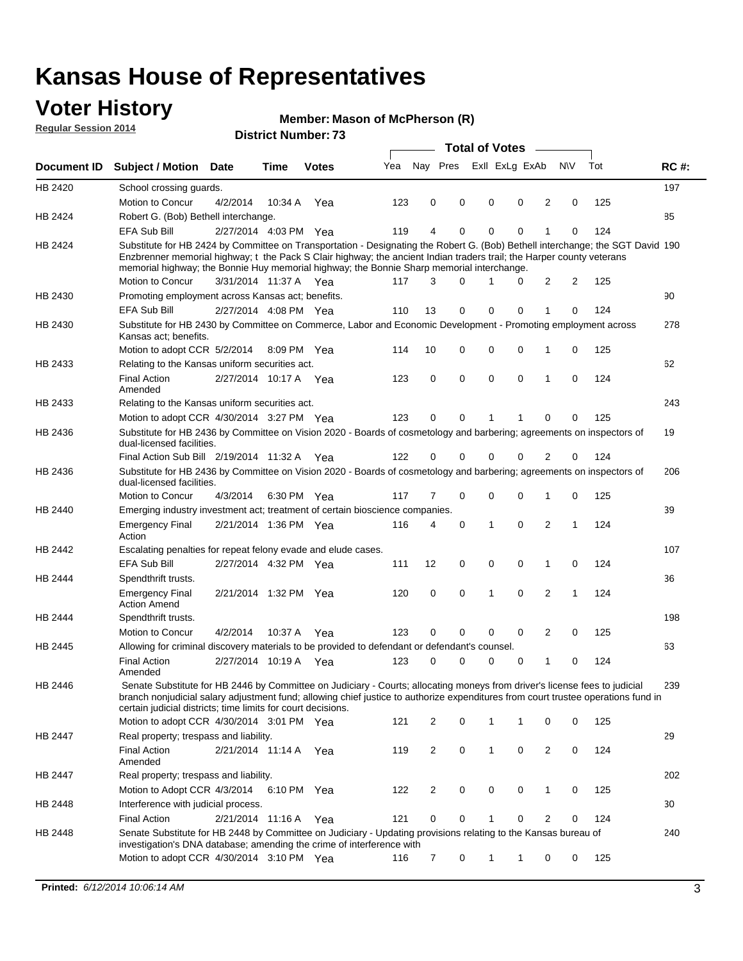### **Voter History**

**Regular Session 2014**

#### **Member: Mason of McPherson (R)**

|                    |                                                                                                                                                                                                                                                                                                                                                      |                       |             |              |     |                |             | <b>Total of Votes</b> |                               |             |     |             |
|--------------------|------------------------------------------------------------------------------------------------------------------------------------------------------------------------------------------------------------------------------------------------------------------------------------------------------------------------------------------------------|-----------------------|-------------|--------------|-----|----------------|-------------|-----------------------|-------------------------------|-------------|-----|-------------|
| <b>Document ID</b> | <b>Subject / Motion Date</b>                                                                                                                                                                                                                                                                                                                         |                       | Time        | <b>Votes</b> | Yea | Nay Pres       |             |                       | Exll ExLg ExAb                | <b>NV</b>   | Tot | <b>RC#:</b> |
| <b>HB 2420</b>     | School crossing guards.                                                                                                                                                                                                                                                                                                                              |                       |             |              |     |                |             |                       |                               |             |     | 197         |
|                    | Motion to Concur                                                                                                                                                                                                                                                                                                                                     | 4/2/2014              | 10:34 A     | Yea          | 123 | 0              | 0           | 0                     | $\mathbf 0$<br>2              | 0           | 125 |             |
| HB 2424            | Robert G. (Bob) Bethell interchange.                                                                                                                                                                                                                                                                                                                 |                       |             |              |     |                |             |                       |                               |             |     | 85          |
|                    | EFA Sub Bill                                                                                                                                                                                                                                                                                                                                         | 2/27/2014 4:03 PM Yea |             |              | 119 | 4              | 0           | 0                     | $\mathbf 0$                   | 0           | 124 |             |
| HB 2424            | Substitute for HB 2424 by Committee on Transportation - Designating the Robert G. (Bob) Bethell interchange; the SGT David 190<br>Enzbrenner memorial highway; t the Pack S Clair highway; the ancient Indian traders trail; the Harper county veterans<br>memorial highway; the Bonnie Huy memorial highway; the Bonnie Sharp memorial interchange. |                       |             |              |     |                | 0           |                       |                               | 2           |     |             |
|                    | Motion to Concur                                                                                                                                                                                                                                                                                                                                     | 3/31/2014 11:37 A Yea |             |              | 117 | 3              |             |                       | 2<br>0                        |             | 125 |             |
| HB 2430            | Promoting employment across Kansas act; benefits.                                                                                                                                                                                                                                                                                                    |                       |             |              |     |                |             |                       |                               |             |     | 90          |
|                    | <b>EFA Sub Bill</b>                                                                                                                                                                                                                                                                                                                                  | 2/27/2014 4:08 PM Yea |             |              | 110 | 13             | 0           | $\mathbf 0$           | $\mathbf 0$<br>1              | 0           | 124 |             |
| HB 2430            | Substitute for HB 2430 by Committee on Commerce, Labor and Economic Development - Promoting employment across<br>Kansas act; benefits.                                                                                                                                                                                                               |                       |             |              |     |                |             |                       |                               |             |     | 278         |
|                    | Motion to adopt CCR 5/2/2014 8:09 PM Yea                                                                                                                                                                                                                                                                                                             |                       |             |              | 114 | 10             | 0           | 0                     | 0<br>1                        | 0           | 125 |             |
| HB 2433            | Relating to the Kansas uniform securities act.                                                                                                                                                                                                                                                                                                       |                       |             |              |     |                |             |                       |                               |             |     | 62          |
|                    | <b>Final Action</b><br>Amended                                                                                                                                                                                                                                                                                                                       | 2/27/2014 10:17 A     |             | Yea          | 123 | $\mathbf 0$    | $\mathbf 0$ | $\mathbf 0$           | $\mathbf 0$<br>1              | $\mathbf 0$ | 124 |             |
| HB 2433            | Relating to the Kansas uniform securities act.                                                                                                                                                                                                                                                                                                       |                       |             |              |     |                |             |                       |                               |             |     | 243         |
|                    | Motion to adopt CCR 4/30/2014 3:27 PM Yea                                                                                                                                                                                                                                                                                                            |                       |             |              | 123 | $\Omega$       | 0           |                       | 0                             | $\Omega$    | 125 |             |
| HB 2436            | Substitute for HB 2436 by Committee on Vision 2020 - Boards of cosmetology and barbering; agreements on inspectors of<br>dual-licensed facilities.                                                                                                                                                                                                   |                       |             |              |     |                |             |                       |                               |             |     | 19          |
|                    | Final Action Sub Bill 2/19/2014 11:32 A Yea                                                                                                                                                                                                                                                                                                          |                       |             |              | 122 | $\Omega$       | 0           | 0                     | 0<br>2                        | 0           | 124 |             |
| HB 2436            | Substitute for HB 2436 by Committee on Vision 2020 - Boards of cosmetology and barbering; agreements on inspectors of<br>dual-licensed facilities.                                                                                                                                                                                                   |                       |             |              |     |                |             |                       |                               |             |     | 206         |
|                    | Motion to Concur                                                                                                                                                                                                                                                                                                                                     | 4/3/2014              | 6:30 PM Yea |              | 117 | 7              | 0           | 0                     | 0<br>1                        | 0           | 125 |             |
| HB 2440            | Emerging industry investment act; treatment of certain bioscience companies.                                                                                                                                                                                                                                                                         |                       |             |              |     |                |             |                       |                               |             |     | 39          |
|                    | <b>Emergency Final</b><br>Action                                                                                                                                                                                                                                                                                                                     | 2/21/2014 1:36 PM Yea |             |              | 116 | 4              | 0           | 1                     | $\mathbf 0$<br>2              | 1           | 124 |             |
| HB 2442            | Escalating penalties for repeat felony evade and elude cases.                                                                                                                                                                                                                                                                                        |                       |             |              |     |                |             |                       |                               |             |     | 107         |
|                    | EFA Sub Bill                                                                                                                                                                                                                                                                                                                                         | 2/27/2014 4:32 PM Yea |             |              | 111 | 12             | 0           | 0                     | 0<br>1                        | 0           | 124 |             |
| HB 2444            | Spendthrift trusts.                                                                                                                                                                                                                                                                                                                                  |                       |             |              |     |                |             |                       |                               |             |     | 36          |
|                    | <b>Emergency Final</b><br><b>Action Amend</b>                                                                                                                                                                                                                                                                                                        | 2/21/2014 1:32 PM Yea |             |              | 120 | 0              | 0           | 1                     | 2<br>$\mathbf 0$              | 1           | 124 |             |
| HB 2444            | Spendthrift trusts.                                                                                                                                                                                                                                                                                                                                  |                       |             |              |     |                |             |                       |                               |             |     | 198         |
|                    | Motion to Concur                                                                                                                                                                                                                                                                                                                                     | 4/2/2014              | 10:37 A     | Yea          | 123 | 0              | 0           | $\mathbf 0$           | 0<br>2                        | 0           | 125 |             |
| HB 2445            | Allowing for criminal discovery materials to be provided to defendant or defendant's counsel.                                                                                                                                                                                                                                                        |                       |             |              |     |                |             |                       |                               |             |     | 63          |
|                    | <b>Final Action</b><br>Amended                                                                                                                                                                                                                                                                                                                       | 2/27/2014 10:19 A Yea |             |              | 123 | 0              | 0           | 0                     | 0<br>1                        | 0           | 124 |             |
| HB 2446            | Senate Substitute for HB 2446 by Committee on Judiciary - Courts; allocating moneys from driver's license fees to judicial<br>branch nonjudicial salary adjustment fund; allowing chief justice to authorize expenditures from court trustee operations fund in<br>certain judicial districts; time limits for court decisions.                      |                       |             |              |     |                |             |                       |                               |             |     | 239         |
|                    | Motion to adopt CCR 4/30/2014 3:01 PM Yea                                                                                                                                                                                                                                                                                                            |                       |             |              | 121 | 2              | 0           | 1                     | 1<br>0                        | 0           | 125 |             |
| HB 2447            | Real property; trespass and liability.                                                                                                                                                                                                                                                                                                               |                       |             |              |     |                |             |                       |                               |             |     | 29          |
|                    | <b>Final Action</b><br>Amended                                                                                                                                                                                                                                                                                                                       | 2/21/2014 11:14 A Yea |             |              | 119 | $\overline{2}$ | 0           | $\mathbf{1}$          | $\mathsf 0$<br>$\overline{2}$ | 0           | 124 |             |
| HB 2447            | Real property; trespass and liability.                                                                                                                                                                                                                                                                                                               |                       |             |              |     |                |             |                       |                               |             |     | 202         |
|                    | Motion to Adopt CCR 4/3/2014 6:10 PM Yea                                                                                                                                                                                                                                                                                                             |                       |             |              | 122 | $\overline{2}$ | 0           | 0                     | 0<br>1                        | 0           | 125 |             |
| HB 2448            | Interference with judicial process.                                                                                                                                                                                                                                                                                                                  |                       |             |              |     |                |             |                       |                               |             |     | 30          |
|                    | <b>Final Action</b>                                                                                                                                                                                                                                                                                                                                  | 2/21/2014 11:16 A     |             | Yea          | 121 | 0              | 0           | 1                     | 0<br>2                        | 0           | 124 |             |
| HB 2448            | Senate Substitute for HB 2448 by Committee on Judiciary - Updating provisions relating to the Kansas bureau of<br>investigation's DNA database; amending the crime of interference with                                                                                                                                                              |                       |             |              |     |                |             |                       |                               |             |     | 240         |
|                    | Motion to adopt CCR 4/30/2014 3:10 PM Yea                                                                                                                                                                                                                                                                                                            |                       |             |              | 116 | 7              | 0           | 1                     | 0<br>1                        | 0           | 125 |             |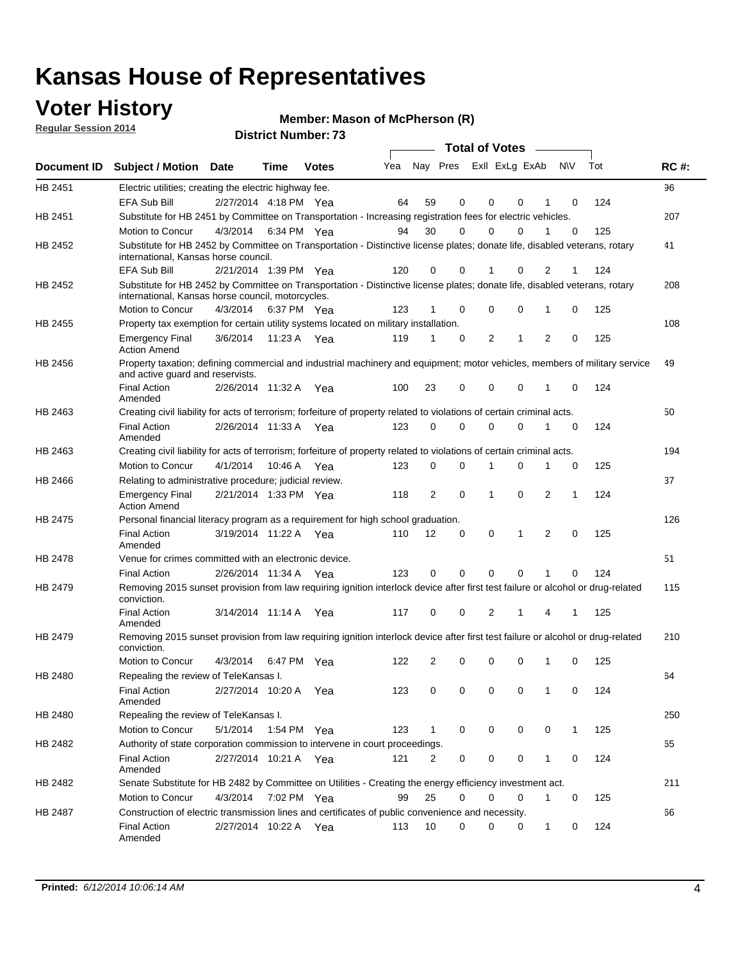### **Voter History**

**Regular Session 2014**

#### **Member: Mason of McPherson (R)**

|                | <b>Total of Votes</b>                                                                                                                                                           |                       |         |              |     |              |             |                |             |                |              |     |             |
|----------------|---------------------------------------------------------------------------------------------------------------------------------------------------------------------------------|-----------------------|---------|--------------|-----|--------------|-------------|----------------|-------------|----------------|--------------|-----|-------------|
| Document ID    | <b>Subject / Motion Date</b>                                                                                                                                                    |                       | Time    | <b>Votes</b> | Yea | Nay Pres     |             | Exll ExLg ExAb |             |                | <b>NV</b>    | Tot | <b>RC#:</b> |
| HB 2451        | Electric utilities; creating the electric highway fee.                                                                                                                          |                       |         |              |     |              |             |                |             |                |              |     | 96          |
|                | EFA Sub Bill                                                                                                                                                                    | 2/27/2014 4:18 PM Yea |         |              | 64  | 59           | 0           | $\mathbf 0$    | $\Omega$    |                | 0            | 124 |             |
| HB 2451        | Substitute for HB 2451 by Committee on Transportation - Increasing registration fees for electric vehicles.                                                                     |                       |         |              |     |              |             |                |             |                |              |     | 207         |
|                | Motion to Concur                                                                                                                                                                | 4/3/2014              |         | 6:34 PM Yea  | 94  | 30           | 0           | 0              | 0           |                | $\mathbf 0$  | 125 |             |
| HB 2452        | Substitute for HB 2452 by Committee on Transportation - Distinctive license plates; donate life, disabled veterans, rotary<br>international, Kansas horse council.              |                       |         |              |     |              |             |                |             |                |              |     | 41          |
|                | EFA Sub Bill                                                                                                                                                                    | 2/21/2014 1:39 PM Yea |         |              | 120 | 0            | 0           |                | 0           | 2              |              | 124 |             |
| HB 2452        | Substitute for HB 2452 by Committee on Transportation - Distinctive license plates; donate life, disabled veterans, rotary<br>international, Kansas horse council, motorcycles. |                       |         |              |     |              |             |                |             |                |              |     | 208         |
|                | Motion to Concur                                                                                                                                                                | 4/3/2014              |         | 6:37 PM Yea  | 123 |              | 0           | $\mathbf 0$    | $\mathbf 0$ | 1              | 0            | 125 |             |
| HB 2455        | Property tax exemption for certain utility systems located on military installation.                                                                                            |                       |         |              |     |              |             |                |             |                |              |     | 108         |
|                | Emergency Final<br><b>Action Amend</b>                                                                                                                                          | 3/6/2014              |         | 11:23 A Yea  | 119 | 1            | 0           | $\overline{2}$ | 1           | $\overline{2}$ | 0            | 125 |             |
| HB 2456        | Property taxation; defining commercial and industrial machinery and equipment; motor vehicles, members of military service<br>and active guard and reservists.                  |                       |         |              |     |              |             |                |             |                |              |     | 49          |
|                | Final Action<br>Amended                                                                                                                                                         | 2/26/2014 11:32 A     |         | Yea          | 100 | 23           | 0           | $\mathbf 0$    | $\mathbf 0$ | 1              | $\mathbf 0$  | 124 |             |
| HB 2463        | Creating civil liability for acts of terrorism; forfeiture of property related to violations of certain criminal acts.                                                          |                       |         |              |     |              |             |                |             |                |              |     | 50          |
|                | <b>Final Action</b><br>Amended                                                                                                                                                  | 2/26/2014 11:33 A     |         | Yea          | 123 | $\Omega$     | $\Omega$    | $\Omega$       | $\Omega$    | 1              | 0            | 124 |             |
| HB 2463        | Creating civil liability for acts of terrorism; forfeiture of property related to violations of certain criminal acts.                                                          |                       |         |              |     |              |             |                |             |                |              |     | 194         |
|                | Motion to Concur                                                                                                                                                                | 4/1/2014              | 10:46 A | Yea          | 123 | 0            | 0           | 1              | $\Omega$    | 1              | 0            | 125 |             |
| HB 2466        | Relating to administrative procedure; judicial review.                                                                                                                          |                       |         |              |     |              |             |                |             |                |              |     | 37          |
|                | <b>Emergency Final</b><br><b>Action Amend</b>                                                                                                                                   | 2/21/2014 1:33 PM Yea |         |              | 118 | 2            | $\mathbf 0$ | 1              | $\Omega$    | $\overline{2}$ | 1            | 124 |             |
| HB 2475        | Personal financial literacy program as a requirement for high school graduation.                                                                                                |                       |         |              |     |              |             |                |             |                |              |     | 126         |
|                | <b>Final Action</b><br>Amended                                                                                                                                                  | 3/19/2014 11:22 A     |         | Yea          | 110 | 12           | 0           | 0              | 1           | 2              | 0            | 125 |             |
| <b>HB 2478</b> | Venue for crimes committed with an electronic device.                                                                                                                           |                       |         |              |     |              |             |                |             |                |              |     | 51          |
|                | <b>Final Action</b>                                                                                                                                                             | 2/26/2014 11:34 A     |         | Yea          | 123 | 0            | 0           | $\Omega$       | $\Omega$    |                | 0            | 124 |             |
| HB 2479        | Removing 2015 sunset provision from law requiring ignition interlock device after first test failure or alcohol or drug-related<br>conviction.                                  |                       |         |              |     |              |             |                |             |                |              |     | 115         |
|                | <b>Final Action</b><br>Amended                                                                                                                                                  | 3/14/2014 11:14 A     |         | Yea          | 117 | 0            | 0           | $\overline{2}$ | 1           | 4              | 1            | 125 |             |
| HB 2479        | Removing 2015 sunset provision from law requiring ignition interlock device after first test failure or alcohol or drug-related<br>conviction.                                  |                       |         |              |     |              |             |                |             |                |              |     | 210         |
|                | Motion to Concur                                                                                                                                                                | 4/3/2014              |         | 6:47 PM Yea  | 122 | 2            | 0           | $\mathbf 0$    | $\mathbf 0$ | 1              | 0            | 125 |             |
| HB 2480        | Repealing the review of TeleKansas I.                                                                                                                                           |                       |         |              |     |              |             |                |             |                |              |     | 64          |
|                | Final Action<br>Amended                                                                                                                                                         | 2/27/2014 10:20 A Yea |         |              | 123 | 0            | 0           | 0              | 0           | 1              | 0            | 124 |             |
| HB 2480        | Repealing the review of TeleKansas I.                                                                                                                                           |                       |         |              |     |              |             |                |             |                |              |     | 250         |
|                | Motion to Concur                                                                                                                                                                | 5/1/2014 1:54 PM Yea  |         |              | 123 | $\mathbf{1}$ | 0           | 0              | 0           | 0              | $\mathbf{1}$ | 125 |             |
| HB 2482        | Authority of state corporation commission to intervene in court proceedings.                                                                                                    |                       |         |              |     |              |             |                |             |                |              |     | 65          |
|                | Final Action<br>Amended                                                                                                                                                         | 2/27/2014 10:21 A Yea |         |              | 121 | 2            | 0           | 0              | 0           | 1              | 0            | 124 |             |
| HB 2482        | Senate Substitute for HB 2482 by Committee on Utilities - Creating the energy efficiency investment act.                                                                        |                       |         |              |     |              |             |                |             |                |              |     | 211         |
|                | Motion to Concur                                                                                                                                                                | 4/3/2014 7:02 PM Yea  |         |              | 99  | 25           | $\Omega$    | 0              | $\Omega$    | 1              | 0            | 125 |             |
| HB 2487        | Construction of electric transmission lines and certificates of public convenience and necessity.                                                                               |                       |         |              |     |              |             |                |             |                |              |     | 66          |
|                | Final Action<br>Amended                                                                                                                                                         | 2/27/2014 10:22 A Yea |         |              | 113 | 10           | 0           | 0              | 0           | 1              | 0            | 124 |             |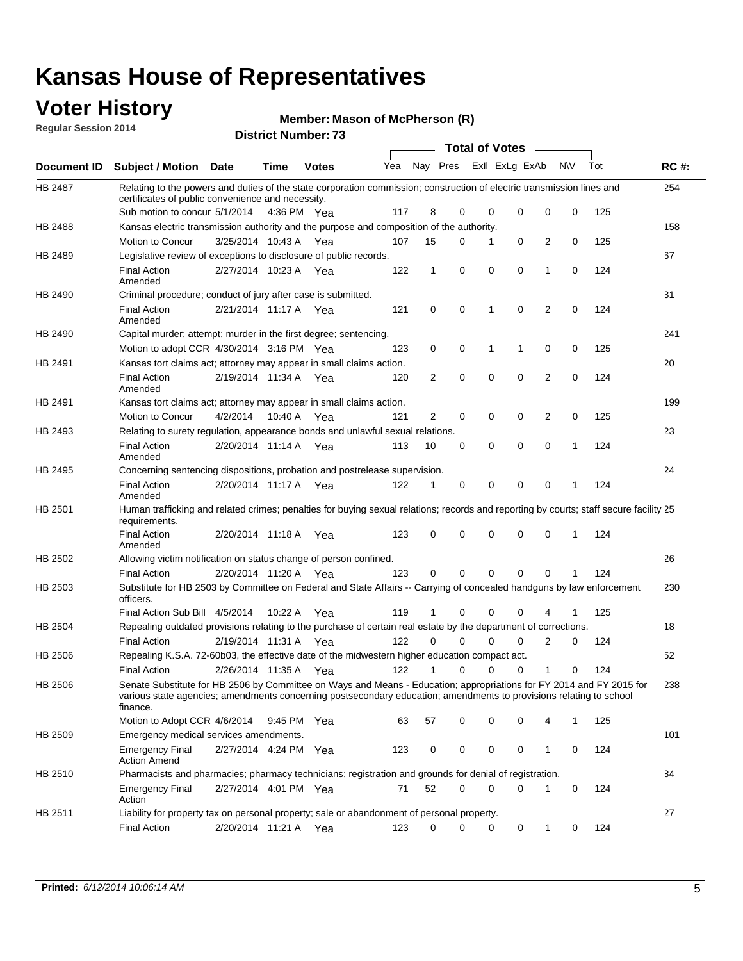### **Voter History**

**Regular Session 2014**

#### **Member: Mason of McPherson (R)**

|                |                                                                                                                                                                                                                                                        |                       |             | <b>טואוווער ואטוווערו.</b> |     |                |          | <b>Total of Votes</b> |             |              |             |     |             |
|----------------|--------------------------------------------------------------------------------------------------------------------------------------------------------------------------------------------------------------------------------------------------------|-----------------------|-------------|----------------------------|-----|----------------|----------|-----------------------|-------------|--------------|-------------|-----|-------------|
| Document ID    | <b>Subject / Motion Date</b>                                                                                                                                                                                                                           |                       | Time        | <b>Votes</b>               | Yea |                | Nay Pres | Exll ExLg ExAb        |             | <b>NV</b>    |             | Tot | <b>RC#:</b> |
| HB 2487        | Relating to the powers and duties of the state corporation commission; construction of electric transmission lines and<br>certificates of public convenience and necessity.                                                                            |                       |             |                            |     |                |          |                       |             |              |             |     | 254         |
|                | Sub motion to concur 5/1/2014                                                                                                                                                                                                                          |                       | 4:36 PM Yea |                            | 117 | 8              | 0        | $\mathbf 0$           | 0           | 0            | 0           | 125 |             |
| HB 2488        | Kansas electric transmission authority and the purpose and composition of the authority.                                                                                                                                                               |                       |             |                            |     |                |          |                       |             |              |             |     | 158         |
|                | Motion to Concur                                                                                                                                                                                                                                       | 3/25/2014 10:43 A     |             | Yea                        | 107 | 15             | 0        | 1                     | 0           | 2            | 0           | 125 |             |
| HB 2489        | Legislative review of exceptions to disclosure of public records.                                                                                                                                                                                      |                       |             |                            |     |                |          |                       |             |              |             |     | 67          |
|                | <b>Final Action</b><br>Amended                                                                                                                                                                                                                         | 2/27/2014 10:23 A Yea |             |                            | 122 | $\mathbf{1}$   | 0        | $\mathbf 0$           | $\mathbf 0$ | 1            | 0           | 124 |             |
| HB 2490        | Criminal procedure; conduct of jury after case is submitted.                                                                                                                                                                                           |                       |             |                            |     |                |          |                       |             |              |             |     | 31          |
|                | <b>Final Action</b><br>Amended                                                                                                                                                                                                                         | 2/21/2014 11:17 A Yea |             |                            | 121 | 0              | 0        | 1                     | 0           | 2            | 0           | 124 |             |
| HB 2490        | Capital murder; attempt; murder in the first degree; sentencing.                                                                                                                                                                                       |                       |             |                            |     |                |          |                       |             |              |             |     | 241         |
|                | Motion to adopt CCR 4/30/2014 3:16 PM Yea                                                                                                                                                                                                              |                       |             |                            | 123 | 0              | 0        | 1<br>$\mathbf{1}$     |             | 0            | 0           | 125 |             |
| HB 2491        | Kansas tort claims act; attorney may appear in small claims action.                                                                                                                                                                                    |                       |             |                            |     |                |          |                       |             |              |             |     | 20          |
|                | <b>Final Action</b><br>Amended                                                                                                                                                                                                                         | 2/19/2014 11:34 A Yea |             |                            | 120 | $\overline{2}$ | 0        | $\mathbf 0$           | $\mathbf 0$ | 2            | 0           | 124 |             |
| HB 2491        | Kansas tort claims act; attorney may appear in small claims action.                                                                                                                                                                                    |                       |             |                            |     |                |          |                       |             |              |             |     | 199         |
|                | Motion to Concur                                                                                                                                                                                                                                       | 4/2/2014              | 10:40 A     | Yea                        | 121 | $\overline{2}$ | 0        | 0                     | 0           | 2            | $\mathbf 0$ | 125 |             |
| HB 2493        | Relating to surety regulation, appearance bonds and unlawful sexual relations.                                                                                                                                                                         |                       |             |                            |     |                |          |                       |             |              |             |     | 23          |
|                | <b>Final Action</b><br>Amended                                                                                                                                                                                                                         | 2/20/2014 11:14 A     |             | Yea                        | 113 | 10             | 0        | $\mathbf 0$           | 0           | 0            | 1           | 124 |             |
| HB 2495        | Concerning sentencing dispositions, probation and postrelease supervision.                                                                                                                                                                             |                       |             |                            |     |                |          |                       |             |              |             |     | 24          |
|                | <b>Final Action</b><br>Amended                                                                                                                                                                                                                         | 2/20/2014 11:17 A Yea |             |                            | 122 | 1              | 0        | 0                     | 0           | $\mathbf 0$  | 1           | 124 |             |
| HB 2501        | Human trafficking and related crimes; penalties for buying sexual relations; records and reporting by courts; staff secure facility 25<br>requirements.                                                                                                |                       |             |                            |     |                |          |                       |             |              |             |     |             |
|                | <b>Final Action</b><br>Amended                                                                                                                                                                                                                         | 2/20/2014 11:18 A     |             | Yea                        | 123 | 0              | 0        | $\mathbf 0$           | 0           | 0            | 1           | 124 |             |
| HB 2502        | Allowing victim notification on status change of person confined.                                                                                                                                                                                      |                       |             |                            |     |                |          |                       |             |              |             |     | 26          |
|                | <b>Final Action</b>                                                                                                                                                                                                                                    | 2/20/2014 11:20 A Yea |             |                            | 123 | 0              | 0        | $\Omega$              | $\Omega$    | $\Omega$     |             | 124 |             |
| HB 2503        | Substitute for HB 2503 by Committee on Federal and State Affairs -- Carrying of concealed handguns by law enforcement<br>officers.                                                                                                                     |                       |             |                            |     |                |          |                       |             |              |             |     | 230         |
|                | Final Action Sub Bill 4/5/2014                                                                                                                                                                                                                         |                       | 10:22 A     | Yea                        | 119 | 1              | 0        | $\mathbf 0$           | 0           | 4            |             | 125 |             |
| <b>HB 2504</b> | Repealing outdated provisions relating to the purchase of certain real estate by the department of corrections.                                                                                                                                        |                       |             |                            |     |                |          |                       |             |              |             |     | 18          |
|                | <b>Final Action</b>                                                                                                                                                                                                                                    | 2/19/2014 11:31 A Yea |             |                            | 122 | $\Omega$       | 0        | 0                     | $\Omega$    | 2            | 0           | 124 |             |
| HB 2506        | Repealing K.S.A. 72-60b03, the effective date of the midwestern higher education compact act.                                                                                                                                                          |                       |             |                            |     |                |          |                       |             |              |             |     | 52          |
|                | <b>Final Action</b>                                                                                                                                                                                                                                    | 2/26/2014 11:35 A Yea |             |                            | 122 | $\mathbf{1}$   | 0        | 0                     | 0           | 1            | 0           | 124 |             |
| HB 2506        | Senate Substitute for HB 2506 by Committee on Ways and Means - Education; appropriations for FY 2014 and FY 2015 for<br>various state agencies; amendments concerning postsecondary education; amendments to provisions relating to school<br>finance. |                       |             |                            |     |                |          |                       |             |              |             |     | 238         |
|                | Motion to Adopt CCR 4/6/2014                                                                                                                                                                                                                           |                       | 9:45 PM Yea |                            | 63  | 57             | 0        | 0                     | 0           | 4            | 1           | 125 |             |
| HB 2509        | Emergency medical services amendments.                                                                                                                                                                                                                 |                       |             |                            |     |                |          |                       |             |              |             |     | 101         |
|                | <b>Emergency Final</b><br><b>Action Amend</b>                                                                                                                                                                                                          | 2/27/2014 4:24 PM Yea |             |                            | 123 | 0              | 0        | 0                     | 0           | $\mathbf{1}$ | 0           | 124 |             |
| HB 2510        | Pharmacists and pharmacies; pharmacy technicians; registration and grounds for denial of registration.                                                                                                                                                 |                       |             |                            |     |                |          |                       |             |              |             |     | 84          |
|                | <b>Emergency Final</b><br>Action                                                                                                                                                                                                                       | 2/27/2014 4:01 PM Yea |             |                            | 71  | 52             | 0        | $\mathbf 0$           | 0           | 1            | 0           | 124 |             |
| HB 2511        | Liability for property tax on personal property; sale or abandonment of personal property.                                                                                                                                                             |                       |             |                            |     |                |          |                       |             |              |             |     | 27          |
|                | <b>Final Action</b>                                                                                                                                                                                                                                    | 2/20/2014 11:21 A Yea |             |                            | 123 | 0              | 0        | 0                     | 0           | 1            | 0           | 124 |             |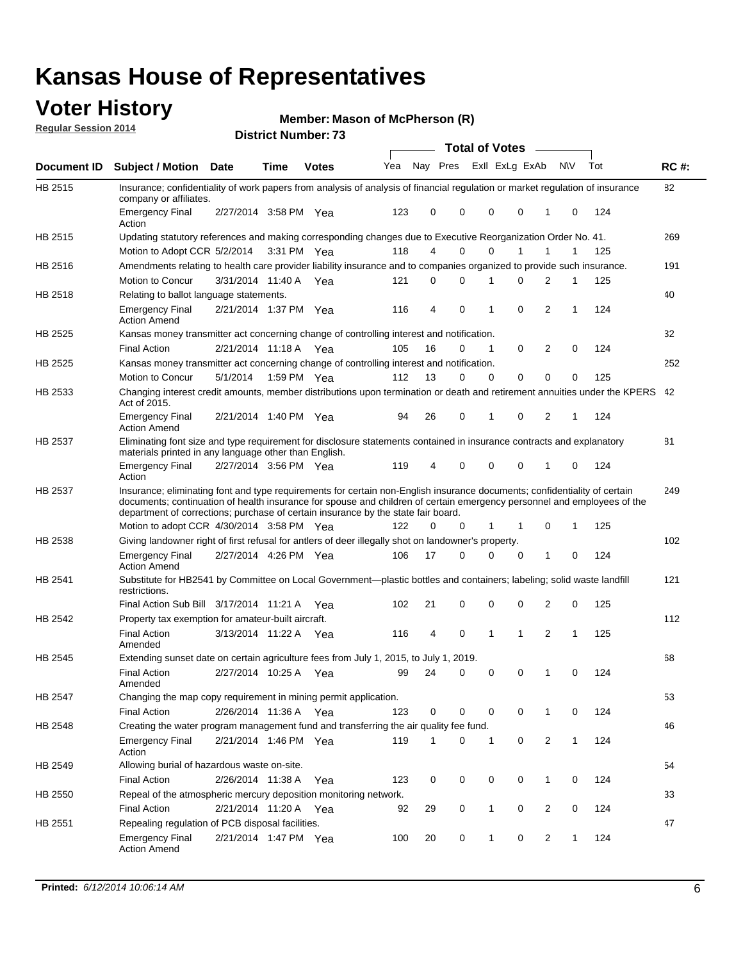### **Voter History**

**Regular Session 2014**

#### **Member: Mason of McPherson (R)**

|             |                                                                                                                                                                                                                                                                                                                                           |                       |               | <b>DISTING MAILINGLE</b> |     |    |   |              | <b>Total of Votes</b>   |                |              |     |             |
|-------------|-------------------------------------------------------------------------------------------------------------------------------------------------------------------------------------------------------------------------------------------------------------------------------------------------------------------------------------------|-----------------------|---------------|--------------------------|-----|----|---|--------------|-------------------------|----------------|--------------|-----|-------------|
| Document ID | <b>Subject / Motion Date</b>                                                                                                                                                                                                                                                                                                              |                       | Time          | <b>Votes</b>             | Yea |    |   |              | Nay Pres ExII ExLg ExAb |                | <b>NV</b>    | Tot | <b>RC#:</b> |
| HB 2515     | Insurance; confidentiality of work papers from analysis of analysis of financial regulation or market regulation of insurance<br>company or affiliates.                                                                                                                                                                                   |                       |               |                          |     |    |   |              |                         |                |              |     | 82          |
|             | <b>Emergency Final</b><br>Action                                                                                                                                                                                                                                                                                                          | 2/27/2014 3:58 PM Yea |               |                          | 123 | 0  | 0 | 0            | 0                       | 1              | 0            | 124 |             |
| HB 2515     | Updating statutory references and making corresponding changes due to Executive Reorganization Order No. 41.                                                                                                                                                                                                                              |                       |               |                          |     |    |   |              |                         |                |              |     | 269         |
|             | Motion to Adopt CCR 5/2/2014                                                                                                                                                                                                                                                                                                              |                       | 3:31 PM Yea   |                          | 118 | 4  | 0 | 0            | 1                       | 1              | 1            | 125 |             |
| HB 2516     | Amendments relating to health care provider liability insurance and to companies organized to provide such insurance.                                                                                                                                                                                                                     |                       |               |                          |     |    |   |              |                         |                |              |     | 191         |
|             | <b>Motion to Concur</b>                                                                                                                                                                                                                                                                                                                   | 3/31/2014 11:40 A     |               | Yea                      | 121 | 0  | 0 | 1            | 0                       | 2              | 1            | 125 |             |
| HB 2518     | Relating to ballot language statements.                                                                                                                                                                                                                                                                                                   |                       |               |                          |     |    |   |              |                         |                |              |     | 40          |
|             | <b>Emergency Final</b><br><b>Action Amend</b>                                                                                                                                                                                                                                                                                             | 2/21/2014 1:37 PM Yea |               |                          | 116 | 4  | 0 | 1            | $\mathbf 0$             | 2              | 1            | 124 |             |
| HB 2525     | Kansas money transmitter act concerning change of controlling interest and notification.                                                                                                                                                                                                                                                  |                       |               |                          |     |    |   |              |                         |                |              |     | 32          |
|             | <b>Final Action</b>                                                                                                                                                                                                                                                                                                                       | 2/21/2014 11:18 A Yea |               |                          | 105 | 16 | 0 | 1            | 0                       | $\overline{2}$ | 0            | 124 |             |
| HB 2525     | Kansas money transmitter act concerning change of controlling interest and notification.                                                                                                                                                                                                                                                  |                       |               |                          |     |    |   |              |                         |                |              |     | 252         |
|             | Motion to Concur                                                                                                                                                                                                                                                                                                                          | 5/1/2014              | 1:59 PM $Yea$ |                          | 112 | 13 | 0 | 0            | 0                       | 0              | 0            | 125 |             |
| HB 2533     | Changing interest credit amounts, member distributions upon termination or death and retirement annuities under the KPERS 42<br>Act of 2015.                                                                                                                                                                                              |                       |               |                          |     |    |   |              |                         |                |              |     |             |
|             | <b>Emergency Final</b><br><b>Action Amend</b>                                                                                                                                                                                                                                                                                             | 2/21/2014 1:40 PM Yea |               |                          | 94  | 26 | 0 | 1            | 0                       | 2              | 1            | 124 |             |
| HB 2537     | Eliminating font size and type requirement for disclosure statements contained in insurance contracts and explanatory<br>materials printed in any language other than English.                                                                                                                                                            |                       |               |                          |     |    |   |              |                         |                |              |     | 81          |
|             | <b>Emergency Final</b><br>Action                                                                                                                                                                                                                                                                                                          | 2/27/2014 3:56 PM Yea |               |                          | 119 | 4  | 0 | 0            | $\mathbf 0$             | 1              | 0            | 124 |             |
| HB 2537     | Insurance; eliminating font and type requirements for certain non-English insurance documents; confidentiality of certain<br>documents; continuation of health insurance for spouse and children of certain emergency personnel and employees of the<br>department of corrections; purchase of certain insurance by the state fair board. |                       |               |                          |     |    |   |              |                         |                |              |     | 249         |
|             | Motion to adopt CCR 4/30/2014 3:58 PM Yea                                                                                                                                                                                                                                                                                                 |                       |               |                          | 122 | 0  | 0 | 1            | 1                       | 0              | 1            | 125 |             |
| HB 2538     | Giving landowner right of first refusal for antlers of deer illegally shot on landowner's property.                                                                                                                                                                                                                                       |                       |               |                          |     |    |   |              |                         |                |              |     | 102         |
|             | <b>Emergency Final</b><br><b>Action Amend</b>                                                                                                                                                                                                                                                                                             | 2/27/2014 4:26 PM Yea |               |                          | 106 | 17 | 0 | 0            | 0                       | 1              | 0            | 124 |             |
| HB 2541     | Substitute for HB2541 by Committee on Local Government—plastic bottles and containers; labeling; solid waste landfill<br>restrictions.                                                                                                                                                                                                    |                       |               |                          |     |    |   |              |                         |                |              |     | 121         |
|             | Final Action Sub Bill 3/17/2014 11:21 A                                                                                                                                                                                                                                                                                                   |                       |               | Yea                      | 102 | 21 | 0 | 0            | $\mathbf 0$             | 2              | 0            | 125 |             |
| HB 2542     | Property tax exemption for amateur-built aircraft.                                                                                                                                                                                                                                                                                        |                       |               |                          |     |    |   |              |                         |                |              |     | 112         |
|             | <b>Final Action</b><br>Amended                                                                                                                                                                                                                                                                                                            | 3/13/2014 11:22 A     |               | Yea                      | 116 | 4  | 0 | $\mathbf{1}$ | 1                       | 2              | 1            | 125 |             |
| HB 2545     | Extending sunset date on certain agriculture fees from July 1, 2015, to July 1, 2019.                                                                                                                                                                                                                                                     |                       |               |                          |     |    |   |              |                         |                |              |     | 68          |
|             | <b>Final Action</b><br>Amended                                                                                                                                                                                                                                                                                                            | 2/27/2014 10:25 A Yea |               |                          | 99  | 24 | 0 | 0            | 0                       | 1              | 0            | 124 |             |
| HB 2547     | Changing the map copy requirement in mining permit application.                                                                                                                                                                                                                                                                           |                       |               |                          |     |    |   |              |                         |                |              |     | 53          |
|             | <b>Final Action</b>                                                                                                                                                                                                                                                                                                                       | 2/26/2014 11:36 A Yea |               |                          | 123 | 0  | 0 | 0            | 0                       | $\mathbf{1}$   | 0            | 124 |             |
| HB 2548     | Creating the water program management fund and transferring the air quality fee fund.                                                                                                                                                                                                                                                     |                       |               |                          |     |    |   |              |                         |                |              |     | 46          |
|             | <b>Emergency Final</b><br>Action                                                                                                                                                                                                                                                                                                          | 2/21/2014 1:46 PM Yea |               |                          | 119 | 1  | 0 | $\mathbf{1}$ | 0                       | 2              | $\mathbf{1}$ | 124 |             |
| HB 2549     | Allowing burial of hazardous waste on-site.                                                                                                                                                                                                                                                                                               |                       |               |                          |     |    |   |              |                         |                |              |     | 54          |
|             | <b>Final Action</b>                                                                                                                                                                                                                                                                                                                       | 2/26/2014 11:38 A Yea |               |                          | 123 | 0  | 0 | 0            | 0                       | 1              | $\mathbf 0$  | 124 |             |
| HB 2550     | Repeal of the atmospheric mercury deposition monitoring network.                                                                                                                                                                                                                                                                          |                       |               |                          |     |    |   |              |                         |                |              |     | 33          |
|             | <b>Final Action</b>                                                                                                                                                                                                                                                                                                                       | 2/21/2014 11:20 A Yea |               |                          | 92  | 29 | 0 | 1            | 0                       | 2              | 0            | 124 |             |
| HB 2551     | Repealing regulation of PCB disposal facilities.                                                                                                                                                                                                                                                                                          |                       |               |                          |     |    |   |              |                         |                |              |     | 47          |
|             | <b>Emergency Final</b><br><b>Action Amend</b>                                                                                                                                                                                                                                                                                             | 2/21/2014 1:47 PM Yea |               |                          | 100 | 20 | 0 | 1            | 0                       | 2              | 1            | 124 |             |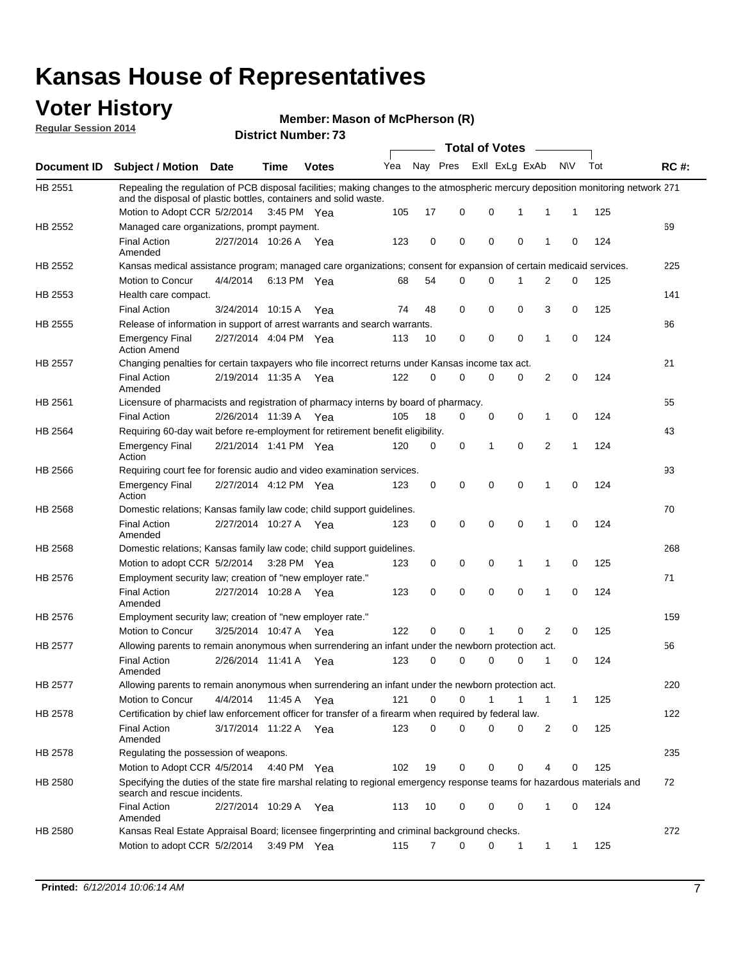### **Voter History**

**Regular Session 2014**

#### **Member: Mason of McPherson (R)**

|                |                                                                                                                                                                                                      |                       |             | <b>DISTRICT NUMBER:</b> 13 | Total of Votes ____ |             |             |  |                             |              |     |     |             |
|----------------|------------------------------------------------------------------------------------------------------------------------------------------------------------------------------------------------------|-----------------------|-------------|----------------------------|---------------------|-------------|-------------|--|-----------------------------|--------------|-----|-----|-------------|
| Document ID    | <b>Subject / Motion Date</b>                                                                                                                                                                         |                       | Time        | <b>Votes</b>               | Yea                 |             | Nay Pres    |  | Exll ExLg ExAb              |              | N\V | Tot | <b>RC#:</b> |
| HB 2551        | Repealing the regulation of PCB disposal facilities; making changes to the atmospheric mercury deposition monitoring network 271<br>and the disposal of plastic bottles, containers and solid waste. |                       |             |                            |                     |             |             |  |                             |              |     |     |             |
|                | Motion to Adopt CCR 5/2/2014                                                                                                                                                                         |                       | 3:45 PM Yea |                            | 105                 | 17          | 0           |  | 0<br>$\mathbf{1}$           | 1            | 1   | 125 |             |
| HB 2552        | Managed care organizations, prompt payment.<br><b>Final Action</b>                                                                                                                                   | 2/27/2014 10:26 A     |             | Yea                        | 123                 | $\mathbf 0$ | 0           |  | $\mathbf 0$<br>$\mathbf 0$  | 1            | 0   | 124 | 69          |
| HB 2552        | Amended<br>Kansas medical assistance program; managed care organizations; consent for expansion of certain medicaid services.                                                                        |                       |             |                            |                     |             |             |  |                             |              |     |     | 225         |
|                | Motion to Concur                                                                                                                                                                                     | 4/4/2014              |             | 6:13 PM Yea                | 68                  | 54          | 0           |  | $\mathbf 0$<br>1            | 2            | 0   | 125 |             |
| HB 2553        | Health care compact.                                                                                                                                                                                 |                       |             |                            |                     |             |             |  |                             |              |     |     | 141         |
|                | <b>Final Action</b>                                                                                                                                                                                  | 3/24/2014 10:15 A     |             | Yea                        | 74                  | 48          | 0           |  | 0<br>0                      | 3            | 0   | 125 |             |
| HB 2555        | Release of information in support of arrest warrants and search warrants.                                                                                                                            |                       |             |                            |                     |             |             |  |                             |              |     |     | 86          |
|                | <b>Emergency Final</b><br><b>Action Amend</b>                                                                                                                                                        | 2/27/2014 4:04 PM Yea |             |                            | 113                 | 10          | 0           |  | 0<br>0                      | 1            | 0   | 124 |             |
| HB 2557        | Changing penalties for certain taxpayers who file incorrect returns under Kansas income tax act.                                                                                                     |                       |             |                            |                     |             |             |  |                             |              |     |     | 21          |
|                | <b>Final Action</b><br>Amended                                                                                                                                                                       | 2/19/2014 11:35 A Yea |             |                            | 122                 | $\Omega$    | 0           |  | 0<br>0                      | 2            | 0   | 124 |             |
| HB 2561        | Licensure of pharmacists and registration of pharmacy interns by board of pharmacy.                                                                                                                  |                       |             |                            |                     |             |             |  |                             |              |     |     | 55          |
|                | <b>Final Action</b>                                                                                                                                                                                  | 2/26/2014 11:39 A     |             | Yea                        | 105                 | 18          | 0           |  | 0<br>0                      | 1            | 0   | 124 |             |
| HB 2564        | Requiring 60-day wait before re-employment for retirement benefit eligibility.                                                                                                                       |                       |             |                            |                     |             |             |  |                             |              |     |     | 43          |
|                | <b>Emergency Final</b><br>Action                                                                                                                                                                     | 2/21/2014 1:41 PM Yea |             |                            | 120                 | 0           | 0           |  | 1<br>$\Omega$               | 2            | 1   | 124 |             |
| HB 2566        | Requiring court fee for forensic audio and video examination services.                                                                                                                               |                       |             |                            |                     |             |             |  |                             |              |     |     | 93          |
|                | <b>Emergency Final</b><br>Action                                                                                                                                                                     | 2/27/2014 4:12 PM Yea |             |                            | 123                 | 0           | $\mathbf 0$ |  | $\mathbf 0$<br>0            | $\mathbf{1}$ | 0   | 124 |             |
| HB 2568        | Domestic relations; Kansas family law code; child support guidelines.                                                                                                                                |                       |             |                            |                     |             |             |  |                             |              |     |     | 70          |
|                | <b>Final Action</b><br>Amended                                                                                                                                                                       | 2/27/2014 10:27 A     |             | Yea                        | 123                 | 0           | 0           |  | $\mathbf 0$<br>0            | 1            | 0   | 124 |             |
| HB 2568        | Domestic relations; Kansas family law code; child support guidelines.                                                                                                                                |                       |             |                            |                     |             |             |  |                             |              |     |     | 268         |
|                | Motion to adopt CCR 5/2/2014 3:28 PM Yea                                                                                                                                                             |                       |             |                            | 123                 | 0           | 0           |  | $\mathbf 0$<br>$\mathbf{1}$ | 1            | 0   | 125 |             |
| HB 2576        | Employment security law; creation of "new employer rate."                                                                                                                                            |                       |             |                            |                     |             |             |  |                             |              |     |     | 71          |
|                | <b>Final Action</b><br>Amended                                                                                                                                                                       | 2/27/2014 10:28 A     |             | Yea                        | 123                 | $\Omega$    | $\Omega$    |  | $\Omega$<br>$\Omega$        | 1            | 0   | 124 |             |
| HB 2576        | Employment security law; creation of "new employer rate."                                                                                                                                            |                       |             |                            |                     |             |             |  |                             |              |     |     | 159         |
|                | Motion to Concur                                                                                                                                                                                     | 3/25/2014 10:47 A     |             | Yea                        | 122                 | 0           | 0           |  | $\Omega$<br>1               | 2            | 0   | 125 |             |
| <b>HB 2577</b> | Allowing parents to remain anonymous when surrendering an infant under the newborn protection act.                                                                                                   |                       |             |                            |                     |             |             |  |                             |              |     |     | 56          |
|                | <b>Final Action</b><br>Amended                                                                                                                                                                       | 2/26/2014 11:41 A     |             | Yea                        | 123                 | 0           | 0           |  | 0<br>$\Omega$               | 1            | 0   | 124 |             |
| HB 2577        | Allowing parents to remain anonymous when surrendering an infant under the newborn protection act.                                                                                                   |                       |             |                            |                     |             |             |  |                             |              |     |     | 220         |
|                | Motion to Concur                                                                                                                                                                                     | 4/4/2014              | 11:45 A     | Yea                        | 121                 | $\Omega$    | 0           |  | 1                           | 1            | 1   | 125 |             |
| HB 2578        | Certification by chief law enforcement officer for transfer of a firearm when required by federal law.                                                                                               |                       |             |                            |                     |             |             |  |                             |              |     |     | 122         |
|                | <b>Final Action</b><br>Amended                                                                                                                                                                       | 3/17/2014 11:22 A     |             | Yea                        | 123                 | 0           | 0           |  | 0<br>0                      | 2            | 0   | 125 |             |
| HB 2578        | Regulating the possession of weapons.                                                                                                                                                                |                       |             |                            |                     |             |             |  |                             |              |     |     | 235         |
|                | Motion to Adopt CCR 4/5/2014                                                                                                                                                                         |                       | 4:40 PM Yea |                            | 102                 | 19          | 0           |  | 0<br>0                      | 4            | 0   | 125 |             |
| HB 2580        | Specifying the duties of the state fire marshal relating to regional emergency response teams for hazardous materials and<br>search and rescue incidents.                                            |                       |             |                            |                     |             |             |  |                             |              |     |     | 72          |
|                | <b>Final Action</b><br>Amended                                                                                                                                                                       | 2/27/2014 10:29 A Yea |             |                            | 113                 | 10          | 0           |  | 0<br>0                      | 1            | 0   | 124 |             |
| HB 2580        | Kansas Real Estate Appraisal Board; licensee fingerprinting and criminal background checks.<br>Motion to adopt CCR 5/2/2014                                                                          |                       |             | $3:49$ PM Yea              | 115                 | 7           | 0           |  | 0<br>$\mathbf 1$            | 1            | 1   | 125 | 272         |
|                |                                                                                                                                                                                                      |                       |             |                            |                     |             |             |  |                             |              |     |     |             |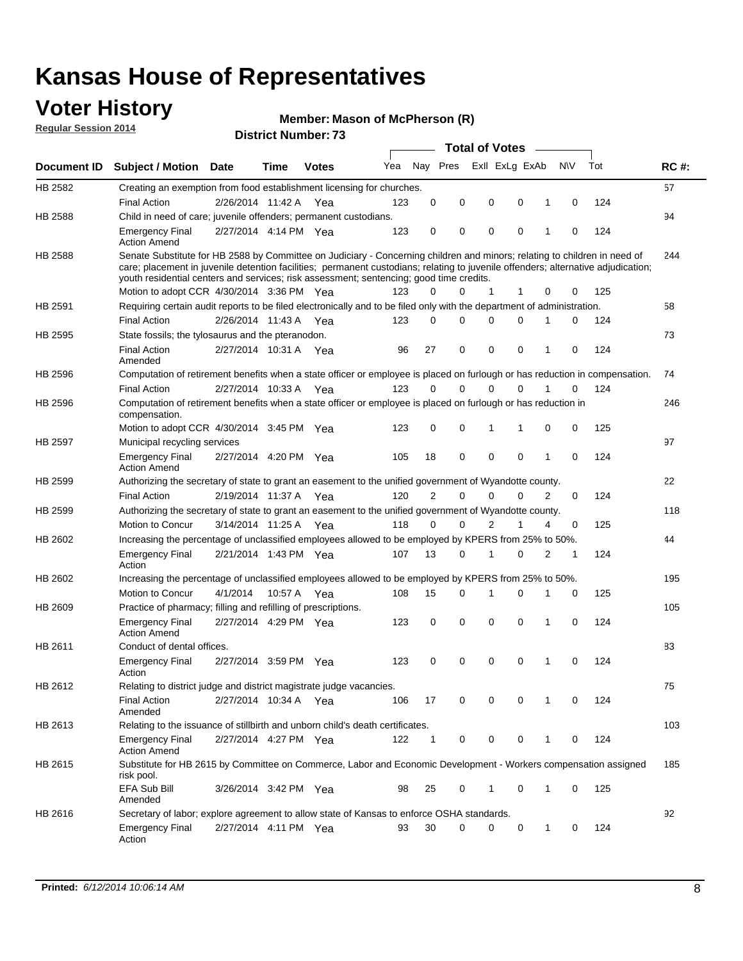### **Voter History**

**Regular Session 2014**

#### **Member: Mason of McPherson (R)**

|                    |                                                                                                                                                                                                                                                                                                                                                                                                        |                       |         |              |     |              |             | <b>Total of Votes</b> |                |                |          |     |             |
|--------------------|--------------------------------------------------------------------------------------------------------------------------------------------------------------------------------------------------------------------------------------------------------------------------------------------------------------------------------------------------------------------------------------------------------|-----------------------|---------|--------------|-----|--------------|-------------|-----------------------|----------------|----------------|----------|-----|-------------|
| <b>Document ID</b> | <b>Subject / Motion Date</b>                                                                                                                                                                                                                                                                                                                                                                           |                       | Time    | <b>Votes</b> | Yea |              | Nay Pres    |                       | Exll ExLg ExAb | <b>NV</b>      |          | Tot | <b>RC#:</b> |
| HB 2582            | Creating an exemption from food establishment licensing for churches.                                                                                                                                                                                                                                                                                                                                  |                       |         |              |     |              |             |                       |                |                |          |     | 57          |
|                    | Final Action                                                                                                                                                                                                                                                                                                                                                                                           | 2/26/2014 11:42 A     |         | Yea          | 123 | 0            | 0           | 0                     | 0              | 1              | 0        | 124 |             |
| HB 2588            | Child in need of care; juvenile offenders; permanent custodians.                                                                                                                                                                                                                                                                                                                                       |                       |         |              |     |              |             |                       |                |                |          |     | 94          |
|                    | Emergency Final<br><b>Action Amend</b>                                                                                                                                                                                                                                                                                                                                                                 | 2/27/2014 4:14 PM Yea |         |              | 123 | 0            | 0           | 0                     | 0              | 1              | 0        | 124 |             |
| <b>HB 2588</b>     | Senate Substitute for HB 2588 by Committee on Judiciary - Concerning children and minors; relating to children in need of<br>care; placement in juvenile detention facilities; permanent custodians; relating to juvenile offenders; alternative adjudication;<br>youth residential centers and services; risk assessment; sentencing; good time credits.<br>Motion to adopt CCR 4/30/2014 3:36 PM Yea |                       |         |              | 123 | 0            | 0           | 1                     | 1              | 0              | 0        | 125 | 244         |
| HB 2591            | Requiring certain audit reports to be filed electronically and to be filed only with the department of administration.                                                                                                                                                                                                                                                                                 |                       |         |              |     |              |             |                       |                |                |          |     | 58          |
|                    | Final Action                                                                                                                                                                                                                                                                                                                                                                                           | 2/26/2014 11:43 A     |         | Yea          | 123 | 0            | $\mathbf 0$ | $\Omega$              | $\mathbf 0$    | 1              | 0        | 124 |             |
| HB 2595            | State fossils; the tylosaurus and the pteranodon.                                                                                                                                                                                                                                                                                                                                                      |                       |         |              |     |              |             |                       |                |                |          |     | 73          |
|                    | <b>Final Action</b><br>Amended                                                                                                                                                                                                                                                                                                                                                                         | 2/27/2014 10:31 A     |         | Yea          | 96  | 27           | 0           | $\mathbf 0$           | 0              | 1              | 0        | 124 |             |
| HB 2596            | Computation of retirement benefits when a state officer or employee is placed on furlough or has reduction in compensation.                                                                                                                                                                                                                                                                            |                       |         |              |     |              |             |                       |                |                |          |     | 74          |
|                    | <b>Final Action</b>                                                                                                                                                                                                                                                                                                                                                                                    | 2/27/2014 10:33 A     |         | Yea          | 123 | $\Omega$     | $\mathbf 0$ | $\mathbf 0$           | $\Omega$       | 1              | 0        | 124 |             |
| HB 2596            | Computation of retirement benefits when a state officer or employee is placed on furlough or has reduction in<br>compensation.                                                                                                                                                                                                                                                                         |                       |         |              |     |              |             |                       |                |                |          |     | 246         |
|                    | Motion to adopt CCR 4/30/2014 3:45 PM Yea                                                                                                                                                                                                                                                                                                                                                              |                       |         |              | 123 | 0            | 0           | $\mathbf{1}$          | $\mathbf{1}$   | 0              | 0        | 125 |             |
| HB 2597            | Municipal recycling services                                                                                                                                                                                                                                                                                                                                                                           |                       |         |              |     |              |             |                       |                |                |          |     | 97          |
|                    | <b>Emergency Final</b><br><b>Action Amend</b>                                                                                                                                                                                                                                                                                                                                                          | 2/27/2014 4:20 PM Yea |         |              | 105 | 18           | $\mathbf 0$ | $\mathbf 0$           | $\mathbf 0$    | 1              | $\Omega$ | 124 |             |
| HB 2599            | Authorizing the secretary of state to grant an easement to the unified government of Wyandotte county.                                                                                                                                                                                                                                                                                                 |                       |         |              |     |              |             |                       |                |                |          |     | 22          |
|                    | <b>Final Action</b>                                                                                                                                                                                                                                                                                                                                                                                    | 2/19/2014 11:37 A     |         | Yea          | 120 | 2            | $\mathbf 0$ | $\mathbf 0$           | $\mathbf 0$    | $\overline{2}$ | 0        | 124 |             |
| HB 2599            | Authorizing the secretary of state to grant an easement to the unified government of Wyandotte county.                                                                                                                                                                                                                                                                                                 |                       |         |              |     |              |             |                       |                |                |          |     | 118         |
|                    | Motion to Concur                                                                                                                                                                                                                                                                                                                                                                                       | 3/14/2014 11:25 A     |         | Yea          | 118 | 0            | $\mathbf 0$ | $\overline{2}$        | 1              | 4              | 0        | 125 |             |
| HB 2602            | Increasing the percentage of unclassified employees allowed to be employed by KPERS from 25% to 50%.                                                                                                                                                                                                                                                                                                   |                       |         |              |     |              |             |                       |                |                |          |     | 44          |
|                    | <b>Emergency Final</b><br>Action                                                                                                                                                                                                                                                                                                                                                                       | 2/21/2014 1:43 PM Yea |         |              | 107 | 13           | 0           | 1                     | 0              | 2              | 1        | 124 |             |
| HB 2602            | Increasing the percentage of unclassified employees allowed to be employed by KPERS from 25% to 50%.                                                                                                                                                                                                                                                                                                   |                       |         |              |     |              |             |                       |                |                |          |     | 195         |
|                    | Motion to Concur                                                                                                                                                                                                                                                                                                                                                                                       | 4/1/2014              | 10:57 A | Yea          | 108 | 15           | 0           | 1                     | 0              | 1              | 0        | 125 |             |
| HB 2609            | Practice of pharmacy; filling and refilling of prescriptions.                                                                                                                                                                                                                                                                                                                                          |                       |         |              |     |              |             |                       |                |                |          |     | 105         |
|                    | <b>Emergency Final</b><br><b>Action Amend</b>                                                                                                                                                                                                                                                                                                                                                          | 2/27/2014 4:29 PM Yea |         |              | 123 | 0            | 0           | $\mathbf 0$           | 0              | 1              | 0        | 124 |             |
| HB 2611            | Conduct of dental offices.                                                                                                                                                                                                                                                                                                                                                                             |                       |         |              |     |              |             |                       |                |                |          |     | 83          |
|                    | <b>Emergency Final</b><br>Action                                                                                                                                                                                                                                                                                                                                                                       | 2/27/2014 3:59 PM Yea |         |              | 123 | 0            | 0           | 0                     | 0              | 1              | 0        | 124 |             |
| HB 2612            | Relating to district judge and district magistrate judge vacancies.                                                                                                                                                                                                                                                                                                                                    |                       |         |              |     |              |             |                       |                |                |          |     | 75          |
|                    | Final Action<br>Amended                                                                                                                                                                                                                                                                                                                                                                                | 2/27/2014 10:34 A Yea |         |              | 106 | 17           | 0           | 0                     | 0              |                | 0        | 124 |             |
| HB 2613            | Relating to the issuance of stillbirth and unborn child's death certificates.                                                                                                                                                                                                                                                                                                                          |                       |         |              |     |              |             |                       |                |                |          |     | 103         |
|                    | Emergency Final<br><b>Action Amend</b>                                                                                                                                                                                                                                                                                                                                                                 | 2/27/2014 4:27 PM Yea |         |              | 122 | $\mathbf{1}$ | 0           | 0                     | 0              | 1              | 0        | 124 |             |
| HB 2615            | Substitute for HB 2615 by Committee on Commerce, Labor and Economic Development - Workers compensation assigned<br>risk pool.                                                                                                                                                                                                                                                                          |                       |         |              |     |              |             |                       |                |                |          |     | 185         |
|                    | EFA Sub Bill<br>Amended                                                                                                                                                                                                                                                                                                                                                                                | 3/26/2014 3:42 PM Yea |         |              | 98  | 25           | 0           | 1                     | 0              | 1              | 0        | 125 |             |
| HB 2616            | Secretary of labor; explore agreement to allow state of Kansas to enforce OSHA standards.                                                                                                                                                                                                                                                                                                              |                       |         |              |     |              |             |                       |                |                |          |     | 92          |
|                    | <b>Emergency Final</b><br>Action                                                                                                                                                                                                                                                                                                                                                                       | 2/27/2014 4:11 PM Yea |         |              | 93  | 30           | $\mathbf 0$ | 0                     | 0              | $\mathbf{1}$   | 0        | 124 |             |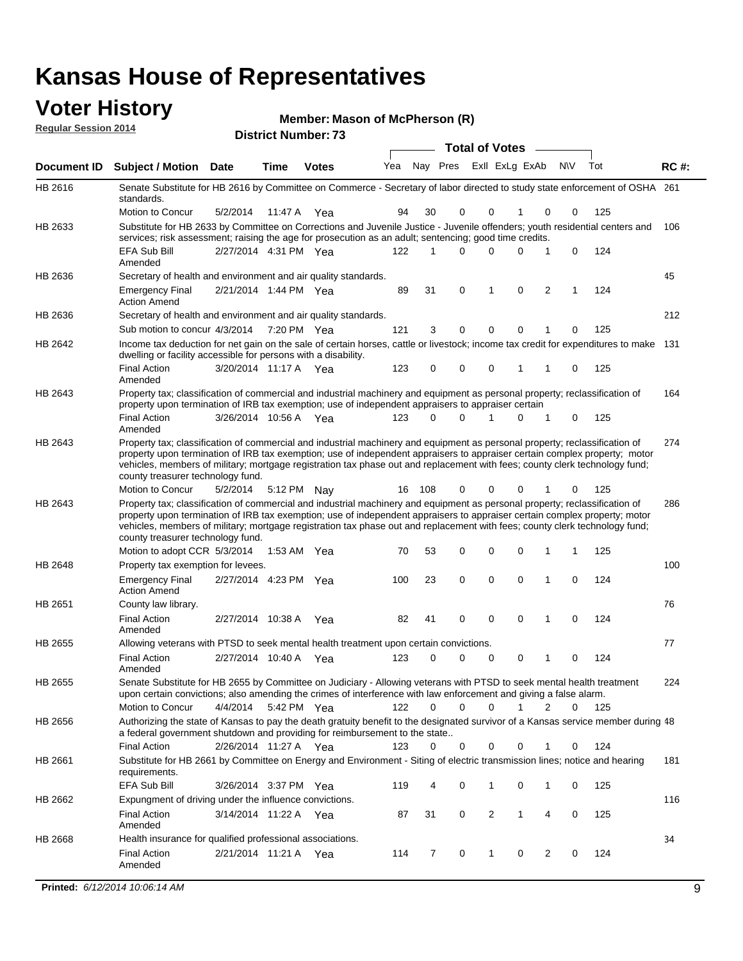### **Voter History Member: Mg**

| <b>VULCI FIISLUI Y</b><br><b>Regular Session 2014</b> |                                                                                                                                                                                                                                                                                                                                                                                                                               |                       |         |                            | Member: Mason of McPherson (R) |     |             |                       |             |                |           |     |             |
|-------------------------------------------------------|-------------------------------------------------------------------------------------------------------------------------------------------------------------------------------------------------------------------------------------------------------------------------------------------------------------------------------------------------------------------------------------------------------------------------------|-----------------------|---------|----------------------------|--------------------------------|-----|-------------|-----------------------|-------------|----------------|-----------|-----|-------------|
|                                                       |                                                                                                                                                                                                                                                                                                                                                                                                                               |                       |         | <b>District Number: 73</b> |                                |     |             | <b>Total of Votes</b> |             |                |           |     |             |
| Document ID                                           | Subject / Motion Date                                                                                                                                                                                                                                                                                                                                                                                                         |                       | Time    | <b>Votes</b>               | Yea                            |     | Nay Pres    | Exll ExLg ExAb        |             |                | <b>NV</b> | Tot | <b>RC#:</b> |
| HB 2616                                               | Senate Substitute for HB 2616 by Committee on Commerce - Secretary of labor directed to study state enforcement of OSHA 261<br>standards.                                                                                                                                                                                                                                                                                     |                       |         |                            |                                |     |             |                       |             |                |           |     |             |
|                                                       | Motion to Concur                                                                                                                                                                                                                                                                                                                                                                                                              | 5/2/2014              | 11:47 A | Yea                        | 94                             | 30  | 0           | 0                     | 1           | 0              | 0         | 125 |             |
| HB 2633                                               | Substitute for HB 2633 by Committee on Corrections and Juvenile Justice - Juvenile offenders; youth residential centers and<br>services; risk assessment; raising the age for prosecution as an adult; sentencing; good time credits.                                                                                                                                                                                         |                       |         |                            |                                |     |             |                       |             |                |           |     | 106         |
|                                                       | <b>EFA Sub Bill</b><br>Amended                                                                                                                                                                                                                                                                                                                                                                                                | 2/27/2014 4:31 PM Yea |         |                            | 122                            | 1   | 0           | 0                     | 0           | 1              | 0         | 124 |             |
| HB 2636                                               | Secretary of health and environment and air quality standards.                                                                                                                                                                                                                                                                                                                                                                |                       |         |                            |                                |     |             |                       |             |                |           |     | 45          |
|                                                       | Emergency Final<br><b>Action Amend</b>                                                                                                                                                                                                                                                                                                                                                                                        | 2/21/2014 1:44 PM Yea |         |                            | 89                             | 31  | $\mathbf 0$ | 1                     | $\mathbf 0$ | 2              | 1         | 124 |             |
| HB 2636                                               | Secretary of health and environment and air quality standards.                                                                                                                                                                                                                                                                                                                                                                |                       |         |                            |                                |     |             |                       |             |                |           |     | 212         |
|                                                       | Sub motion to concur 4/3/2014                                                                                                                                                                                                                                                                                                                                                                                                 |                       |         | 7:20 PM Yea                | 121                            | 3   | 0           | 0                     | 0           |                | 0         | 125 |             |
| HB 2642                                               | Income tax deduction for net gain on the sale of certain horses, cattle or livestock; income tax credit for expenditures to make 131<br>dwelling or facility accessible for persons with a disability.                                                                                                                                                                                                                        |                       |         |                            |                                |     |             |                       |             |                |           |     |             |
|                                                       | <b>Final Action</b><br>Amended                                                                                                                                                                                                                                                                                                                                                                                                | 3/20/2014 11:17 A     |         | Yea                        | 123                            | 0   | 0           | 0                     | 1           | 1              | 0         | 125 |             |
| HB 2643                                               | Property tax; classification of commercial and industrial machinery and equipment as personal property; reclassification of<br>property upon termination of IRB tax exemption; use of independent appraisers to appraiser certain                                                                                                                                                                                             |                       |         |                            |                                |     |             |                       |             |                |           |     | 164         |
|                                                       | <b>Final Action</b><br>Amended                                                                                                                                                                                                                                                                                                                                                                                                | 3/26/2014 10:56 A     |         | Yea                        | 123                            | 0   | 0           | 1                     | 0           | 1              | 0         | 125 |             |
| HB 2643                                               | Property tax; classification of commercial and industrial machinery and equipment as personal property; reclassification of<br>property upon termination of IRB tax exemption; use of independent appraisers to appraiser certain complex property; motor<br>vehicles, members of military; mortgage registration tax phase out and replacement with fees; county clerk technology fund;<br>county treasurer technology fund. |                       |         |                            |                                |     |             |                       |             |                |           |     | 274         |
|                                                       | Motion to Concur                                                                                                                                                                                                                                                                                                                                                                                                              | 5/2/2014              | 5:12 PM | Nav                        | 16                             | 108 | 0           | 0                     | 0           | 1              | 0         | 125 |             |
| HB 2643                                               | Property tax; classification of commercial and industrial machinery and equipment as personal property; reclassification of<br>property upon termination of IRB tax exemption; use of independent appraisers to appraiser certain complex property; motor<br>vehicles, members of military; mortgage registration tax phase out and replacement with fees; county clerk technology fund;<br>county treasurer technology fund. |                       |         |                            |                                |     |             |                       |             |                |           |     | 286         |
|                                                       | Motion to adopt CCR 5/3/2014                                                                                                                                                                                                                                                                                                                                                                                                  |                       | 1:53 AM | Yea                        | 70                             | 53  | 0           | 0                     | 0           | 1              | 1         | 125 |             |
| HB 2648                                               | Property tax exemption for levees.                                                                                                                                                                                                                                                                                                                                                                                            |                       |         |                            |                                |     |             |                       |             |                |           |     | 100         |
|                                                       | <b>Emergency Final</b><br><b>Action Amend</b>                                                                                                                                                                                                                                                                                                                                                                                 | 2/27/2014 4:23 PM Yea |         |                            | 100                            | 23  | $\mathbf 0$ | $\mathbf 0$           | $\mathbf 0$ | 1              | 0         | 124 |             |
| HB 2651                                               | County law library.                                                                                                                                                                                                                                                                                                                                                                                                           |                       |         |                            |                                |     |             |                       |             |                |           |     | 76          |
|                                                       | <b>Final Action</b><br>Amended                                                                                                                                                                                                                                                                                                                                                                                                | 2/27/2014 10:38 A     |         | Yea                        | 82                             | 41  | 0           | 0                     | 0           | 1              | 0         | 124 |             |
| HB 2655                                               | Allowing veterans with PTSD to seek mental health treatment upon certain convictions.                                                                                                                                                                                                                                                                                                                                         |                       |         |                            |                                |     |             |                       |             |                |           |     | 77          |
|                                                       | <b>Final Action</b><br>Amended                                                                                                                                                                                                                                                                                                                                                                                                | 2/27/2014 10:40 A     |         | Yea                        | 123                            | 0   | 0           | 0                     | 0           | $\mathbf{1}$   | 0         | 124 |             |
| HB 2655                                               | Senate Substitute for HB 2655 by Committee on Judiciary - Allowing veterans with PTSD to seek mental health treatment<br>upon certain convictions; also amending the crimes of interference with law enforcement and giving a false alarm.                                                                                                                                                                                    |                       |         |                            |                                |     |             |                       |             |                |           |     | 224         |
|                                                       | Motion to Concur                                                                                                                                                                                                                                                                                                                                                                                                              | 4/4/2014              |         | 5:42 PM Yea                | 122                            | 0   | 0           | $\Omega$              |             | 2              | 0         | 125 |             |
| HB 2656                                               | Authorizing the state of Kansas to pay the death gratuity benefit to the designated survivor of a Kansas service member during 48<br>a federal government shutdown and providing for reimbursement to the state                                                                                                                                                                                                               |                       |         |                            |                                |     |             |                       |             |                |           |     |             |
|                                                       | <b>Final Action</b>                                                                                                                                                                                                                                                                                                                                                                                                           | 2/26/2014 11:27 A Yea |         |                            | 123                            | 0   | 0           | 0                     | 0           | 1              | 0         | 124 |             |
| HB 2661                                               | Substitute for HB 2661 by Committee on Energy and Environment - Siting of electric transmission lines; notice and hearing<br>requirements.                                                                                                                                                                                                                                                                                    |                       |         |                            |                                |     |             |                       |             |                |           |     | 181         |
|                                                       | EFA Sub Bill                                                                                                                                                                                                                                                                                                                                                                                                                  | 3/26/2014 3:37 PM Yea |         |                            | 119                            | 4   | 0           | 1                     | 0           | 1              | 0         | 125 |             |
| HB 2662                                               | Expungment of driving under the influence convictions.<br><b>Final Action</b>                                                                                                                                                                                                                                                                                                                                                 | 3/14/2014 11:22 A     |         | Yea                        | 87                             | 31  | 0           | 2                     | 1           | 4              | 0         | 125 | 116         |
| HB 2668                                               | Amended<br>Health insurance for qualified professional associations.                                                                                                                                                                                                                                                                                                                                                          |                       |         |                            |                                |     |             |                       |             |                |           |     | 34          |
|                                                       | <b>Final Action</b>                                                                                                                                                                                                                                                                                                                                                                                                           | 2/21/2014 11:21 A     |         | Yea                        | 114                            | 7   | 0           | 1                     | 0           | $\overline{2}$ | 0         | 124 |             |

Amended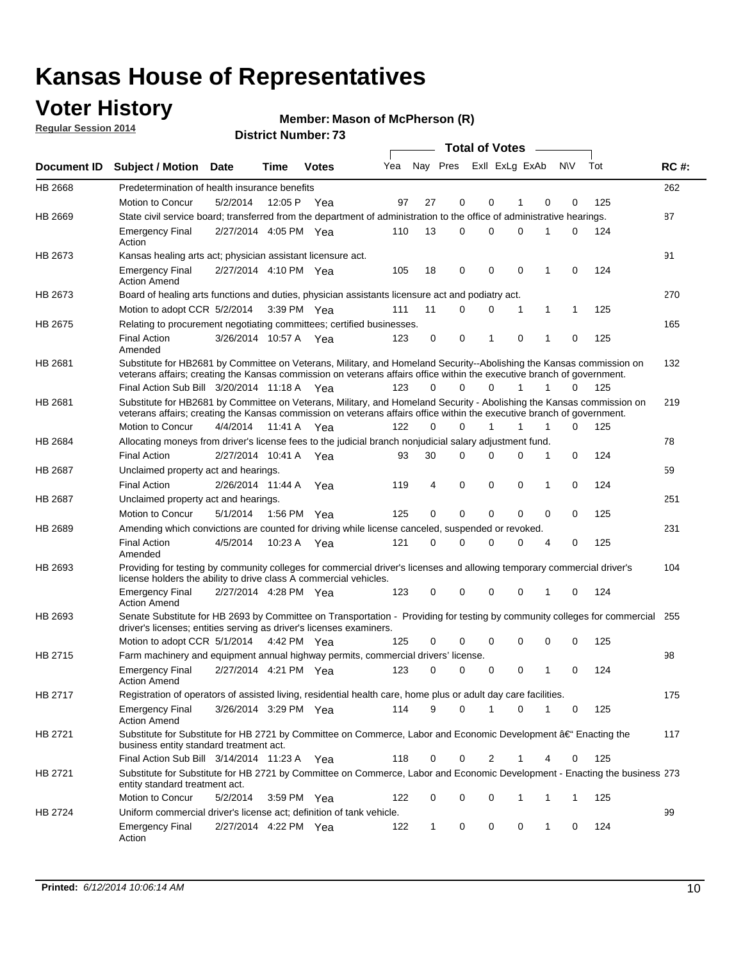### **Voter History**

**Regular Session 2014**

#### **Member: Mason of McPherson (R)**

|                |                                                                                                                                                                                                                                                 |                                                                                                  |             |              |     |             |             | <b>Total of Votes</b> |             |              |             |     |             |
|----------------|-------------------------------------------------------------------------------------------------------------------------------------------------------------------------------------------------------------------------------------------------|--------------------------------------------------------------------------------------------------|-------------|--------------|-----|-------------|-------------|-----------------------|-------------|--------------|-------------|-----|-------------|
|                | Document ID Subject / Motion Date                                                                                                                                                                                                               |                                                                                                  | Time        | <b>Votes</b> | Yea | Nay Pres    |             | Exll ExLg ExAb        |             |              | <b>NV</b>   | Tot | <b>RC#:</b> |
| <b>HB 2668</b> | Predetermination of health insurance benefits                                                                                                                                                                                                   |                                                                                                  |             |              |     |             |             |                       |             |              |             |     | 262         |
|                | Motion to Concur                                                                                                                                                                                                                                | 5/2/2014                                                                                         | 12:05 P     | Yea          | 97  | 27          | 0           | 0                     |             | $\mathbf 0$  | 0           | 125 |             |
| HB 2669        | State civil service board; transferred from the department of administration to the office of administrative hearings.                                                                                                                          |                                                                                                  |             |              |     |             |             |                       |             |              |             |     | 87          |
|                | <b>Emergency Final</b><br>Action                                                                                                                                                                                                                | 2/27/2014 4:05 PM Yea                                                                            |             |              | 110 | 13          | 0           | 0                     | 0           | 1            | 0           | 124 |             |
| HB 2673        | Kansas healing arts act; physician assistant licensure act.                                                                                                                                                                                     |                                                                                                  |             |              |     |             |             |                       |             |              |             |     | 91          |
|                | <b>Emergency Final</b><br><b>Action Amend</b>                                                                                                                                                                                                   | 2/27/2014 4:10 PM Yea                                                                            |             |              | 105 | 18          | 0           | 0                     | $\mathbf 0$ | 1            | 0           | 124 |             |
| HB 2673        | Board of healing arts functions and duties, physician assistants licensure act and podiatry act.                                                                                                                                                |                                                                                                  |             |              |     |             |             |                       |             |              |             |     | 270         |
|                | Motion to adopt CCR 5/2/2014                                                                                                                                                                                                                    |                                                                                                  | 3:39 PM Yea |              | 111 | 11          | $\Omega$    | 0                     | 1           | 1            | 1           | 125 |             |
| HB 2675        | Relating to procurement negotiating committees; certified businesses.                                                                                                                                                                           |                                                                                                  |             |              |     |             |             |                       |             |              |             |     | 165         |
|                | <b>Final Action</b><br>Amended                                                                                                                                                                                                                  | 3/26/2014 10:57 A Yea                                                                            |             |              | 123 | $\mathbf 0$ | 0           | 1                     | 0           | 1            | 0           | 125 |             |
| HB 2681        | Substitute for HB2681 by Committee on Veterans, Military, and Homeland Security--Abolishing the Kansas commission on<br>veterans affairs; creating the Kansas commission on veterans affairs office within the executive branch of government.  |                                                                                                  |             |              |     |             |             |                       |             |              |             |     | 132         |
|                | Final Action Sub Bill 3/20/2014 11:18 A Yea                                                                                                                                                                                                     |                                                                                                  |             |              | 123 | $\Omega$    | $\Omega$    | $\Omega$              | 1           | 1            | 0           | 125 |             |
| HB 2681        | Substitute for HB2681 by Committee on Veterans, Military, and Homeland Security - Abolishing the Kansas commission on<br>veterans affairs; creating the Kansas commission on veterans affairs office within the executive branch of government. |                                                                                                  |             |              |     |             |             |                       |             |              |             |     | 219         |
|                | Motion to Concur                                                                                                                                                                                                                                | 4/4/2014                                                                                         | 11:41 A     | Yea          | 122 | $\Omega$    | $\Omega$    | 1                     |             |              | 0           | 125 |             |
| HB 2684        | Allocating moneys from driver's license fees to the judicial branch nonjudicial salary adjustment fund.                                                                                                                                         |                                                                                                  |             |              |     |             |             |                       |             |              |             |     | 78          |
|                | <b>Final Action</b>                                                                                                                                                                                                                             | 2/27/2014 10:41 A Yea                                                                            |             |              | 93  | 30          | 0           | 0                     | $\Omega$    | 1            | 0           | 124 |             |
| <b>HB 2687</b> | Unclaimed property act and hearings.                                                                                                                                                                                                            |                                                                                                  |             |              |     |             |             |                       |             |              |             |     | 59          |
|                | <b>Final Action</b>                                                                                                                                                                                                                             | 2/26/2014 11:44 A                                                                                |             | Yea          | 119 | 4           | 0           | $\mathbf 0$           | $\mathbf 0$ | 1            | 0           | 124 |             |
| HB 2687        | Unclaimed property act and hearings.                                                                                                                                                                                                            |                                                                                                  |             |              |     |             |             |                       |             |              |             |     | 251         |
|                | Motion to Concur                                                                                                                                                                                                                                | 5/1/2014                                                                                         | 1:56 PM     | Yea          | 125 | 0           | $\mathbf 0$ | $\Omega$              | 0           | 0            | $\Omega$    | 125 |             |
| HB 2689        |                                                                                                                                                                                                                                                 | Amending which convictions are counted for driving while license canceled, suspended or revoked. |             |              |     |             |             |                       |             |              |             |     |             |
|                | <b>Final Action</b><br>Amended                                                                                                                                                                                                                  | 4/5/2014                                                                                         | 10:23 A     | Yea          | 121 | $\Omega$    | 0           | 0                     | $\Omega$    | 4            | 0           | 125 |             |
| HB 2693        | Providing for testing by community colleges for commercial driver's licenses and allowing temporary commercial driver's<br>license holders the ability to drive class A commercial vehicles.                                                    |                                                                                                  |             |              |     |             |             |                       |             |              |             |     | 104         |
|                | <b>Emergency Final</b><br><b>Action Amend</b>                                                                                                                                                                                                   | 2/27/2014 4:28 PM Yea                                                                            |             |              | 123 | 0           | 0           | 0                     | 0           | 1            | 0           | 124 |             |
| HB 2693        | Senate Substitute for HB 2693 by Committee on Transportation - Providing for testing by community colleges for commercial 255<br>driver's licenses; entities serving as driver's licenses examiners.                                            |                                                                                                  |             |              |     |             |             |                       |             |              |             |     |             |
|                | Motion to adopt CCR 5/1/2014                                                                                                                                                                                                                    |                                                                                                  | 4:42 PM Yea |              | 125 | 0           | 0           | 0                     | 0           | $\mathbf 0$  | 0           | 125 |             |
| HB 2715        | Farm machinery and equipment annual highway permits, commercial drivers' license.                                                                                                                                                               |                                                                                                  |             |              |     |             |             |                       |             |              |             |     | 98          |
|                | <b>Emergency Final</b><br><b>Action Amend</b>                                                                                                                                                                                                   | 2/27/2014 4:21 PM Yea                                                                            |             |              | 123 | 0           | 0           | 0                     | 0           | 1            | 0           | 124 |             |
| HB 2717        | Registration of operators of assisted living, residential health care, home plus or adult day care facilities.                                                                                                                                  |                                                                                                  |             |              |     |             |             |                       |             |              |             |     | 175         |
|                | <b>Emergency Final</b><br><b>Action Amend</b>                                                                                                                                                                                                   | 3/26/2014 3:29 PM Yea                                                                            |             |              | 114 | 9           | $\Omega$    |                       | $\Omega$    | 1            | 0           | 125 |             |
| HB 2721        | Substitute for Substitute for HB 2721 by Committee on Commerce, Labor and Economic Development †Enacting the<br>business entity standard treatment act.                                                                                         |                                                                                                  |             |              |     |             |             |                       |             |              |             |     | 117         |
|                | Final Action Sub Bill 3/14/2014 11:23 A Yea                                                                                                                                                                                                     |                                                                                                  |             |              | 118 | 0           | 0           | 2                     |             |              | 0           | 125 |             |
| HB 2721        | Substitute for Substitute for HB 2721 by Committee on Commerce, Labor and Economic Development - Enacting the business 273<br>entity standard treatment act.                                                                                    |                                                                                                  |             |              |     |             |             |                       |             |              |             |     |             |
|                | Motion to Concur                                                                                                                                                                                                                                | 5/2/2014                                                                                         | 3:59 PM Yea |              | 122 | 0           | 0           | 0                     | 1           | 1            | $\mathbf 1$ | 125 |             |
| HB 2724        | Uniform commercial driver's license act; definition of tank vehicle.                                                                                                                                                                            |                                                                                                  |             |              |     |             |             |                       |             |              |             |     | 99          |
|                | <b>Emergency Final</b><br>Action                                                                                                                                                                                                                | 2/27/2014 4:22 PM Yea                                                                            |             |              | 122 | 1           | 0           | 0                     | 0           | $\mathbf{1}$ | 0           | 124 |             |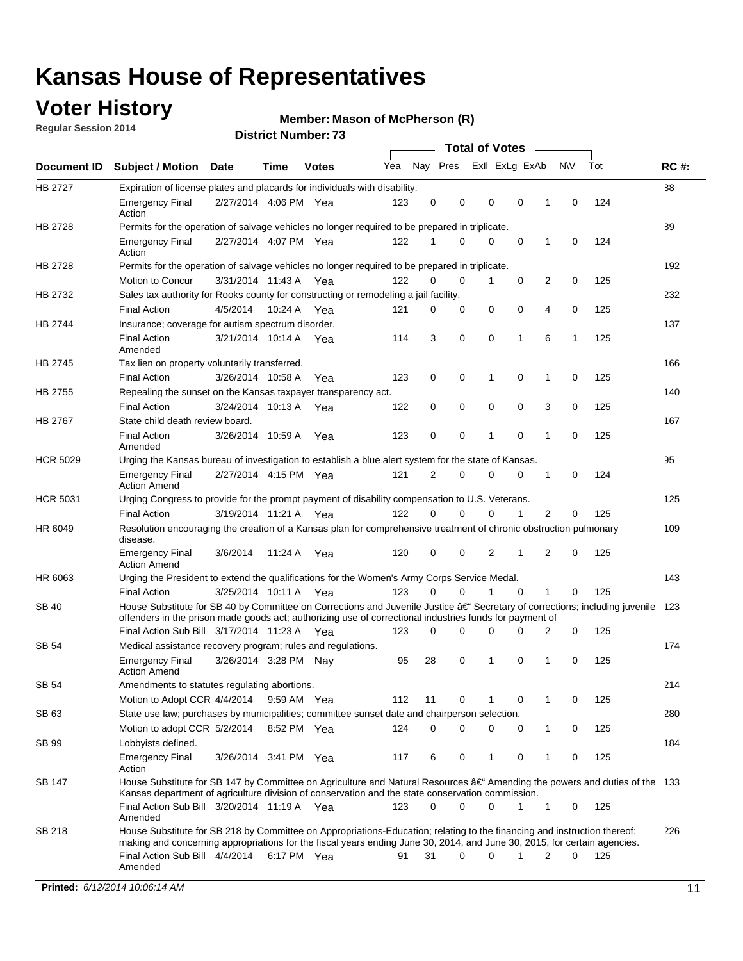### **Voter History**

**Regular Session 2014**

#### **Member: Mason of McPherson (R)**

|                 |                                                                                                                                                                                                                                                                                     |                       |             |              | <b>Total of Votes</b> |          |             |                |              |   |     |     |             |
|-----------------|-------------------------------------------------------------------------------------------------------------------------------------------------------------------------------------------------------------------------------------------------------------------------------------|-----------------------|-------------|--------------|-----------------------|----------|-------------|----------------|--------------|---|-----|-----|-------------|
| Document ID     | <b>Subject / Motion</b>                                                                                                                                                                                                                                                             | <b>Date</b>           | Time        | <b>Votes</b> | Yea                   | Nay Pres |             | Exll ExLg ExAb |              |   | N\V | Tot | <b>RC#:</b> |
| <b>HB 2727</b>  | Expiration of license plates and placards for individuals with disability.                                                                                                                                                                                                          |                       |             |              |                       |          |             |                |              |   |     |     | 88          |
|                 | <b>Emergency Final</b><br>Action                                                                                                                                                                                                                                                    | 2/27/2014 4:06 PM Yea |             |              | 123                   | 0        | 0           | 0              | 0            |   | 0   | 124 |             |
| HB 2728         | 89<br>Permits for the operation of salvage vehicles no longer required to be prepared in triplicate.                                                                                                                                                                                |                       |             |              |                       |          |             |                |              |   |     |     |             |
|                 | <b>Emergency Final</b>                                                                                                                                                                                                                                                              | 2/27/2014 4:07 PM Yea |             |              | 122                   | 1        | 0           | 0              | 0            | 1 | 0   | 124 |             |
| HB 2728         | Action                                                                                                                                                                                                                                                                              |                       |             |              |                       |          |             |                |              |   |     |     | 192         |
|                 | Permits for the operation of salvage vehicles no longer required to be prepared in triplicate.<br>Motion to Concur                                                                                                                                                                  | 3/31/2014 11:43 A Yea |             |              | 122                   | $\Omega$ | $\Omega$    | 1              | 0            | 2 | 0   | 125 |             |
| HB 2732         | Sales tax authority for Rooks county for constructing or remodeling a jail facility.                                                                                                                                                                                                |                       |             |              |                       |          |             |                |              |   |     |     | 232         |
|                 | <b>Final Action</b>                                                                                                                                                                                                                                                                 | 4/5/2014              | 10:24 A Yea |              | 121                   | 0        | 0           | 0              | $\mathbf 0$  | 4 | 0   | 125 |             |
| HB 2744         | Insurance; coverage for autism spectrum disorder.                                                                                                                                                                                                                                   |                       |             |              |                       |          |             |                |              |   |     |     | 137         |
|                 | <b>Final Action</b><br>Amended                                                                                                                                                                                                                                                      | 3/21/2014 10:14 A Yea |             |              | 114                   | 3        | 0           | 0              | 1            | 6 | 1   | 125 |             |
| HB 2745         | Tax lien on property voluntarily transferred.                                                                                                                                                                                                                                       |                       |             |              |                       |          |             |                |              |   |     |     | 166         |
|                 | <b>Final Action</b>                                                                                                                                                                                                                                                                 | 3/26/2014 10:58 A     |             | Yea          | 123                   | 0        | 0           | 1              | $\mathbf 0$  | 1 | 0   | 125 |             |
| <b>HB 2755</b>  | Repealing the sunset on the Kansas taxpayer transparency act.                                                                                                                                                                                                                       |                       |             |              |                       |          |             |                |              |   |     |     | 140         |
|                 | <b>Final Action</b>                                                                                                                                                                                                                                                                 | 3/24/2014 10:13 A     |             | Yea          | 122                   | 0        | 0           | 0              | 0            | 3 | 0   | 125 |             |
| <b>HB 2767</b>  | State child death review board.                                                                                                                                                                                                                                                     |                       |             |              |                       |          |             |                |              |   |     |     | 167         |
|                 | <b>Final Action</b><br>Amended                                                                                                                                                                                                                                                      | 3/26/2014 10:59 A     |             | Yea          | 123                   | 0        | $\mathbf 0$ | 1              | 0            | 1 | 0   | 125 |             |
| <b>HCR 5029</b> | Urging the Kansas bureau of investigation to establish a blue alert system for the state of Kansas.                                                                                                                                                                                 |                       |             |              |                       |          |             |                |              |   |     |     | 95          |
|                 | <b>Emergency Final</b><br><b>Action Amend</b>                                                                                                                                                                                                                                       | 2/27/2014 4:15 PM Yea |             |              | 121                   | 2        | 0           | 0              | 0            | 1 | 0   | 124 |             |
| <b>HCR 5031</b> | Urging Congress to provide for the prompt payment of disability compensation to U.S. Veterans.                                                                                                                                                                                      |                       |             |              |                       |          |             |                |              |   |     |     | 125         |
|                 | <b>Final Action</b>                                                                                                                                                                                                                                                                 | 3/19/2014 11:21 A Yea |             |              | 122                   | 0        | 0           | $\Omega$       | 1            | 2 | 0   | 125 |             |
| HR 6049         | Resolution encouraging the creation of a Kansas plan for comprehensive treatment of chronic obstruction pulmonary                                                                                                                                                                   |                       |             |              |                       |          |             |                |              |   |     |     |             |
|                 | disease.                                                                                                                                                                                                                                                                            | 3/6/2014              |             |              | 120                   | 0        | 0           | 2              | 1            | 2 | 0   | 125 |             |
|                 | <b>Emergency Final</b><br><b>Action Amend</b>                                                                                                                                                                                                                                       |                       | 11:24 A     | Yea          |                       |          |             |                |              |   |     |     |             |
| HR 6063         | Urging the President to extend the qualifications for the Women's Army Corps Service Medal.                                                                                                                                                                                         |                       |             |              |                       |          |             | 1              | $\Omega$     | 1 |     |     | 143         |
|                 | <b>Final Action</b>                                                                                                                                                                                                                                                                 | 3/25/2014 10:11 A Yea |             |              | 123                   | 0        | $\Omega$    |                |              |   | 0   | 125 |             |
| SB 40           | House Substitute for SB 40 by Committee on Corrections and Juvenile Justice †Secretary of corrections; including juvenile<br>offenders in the prison made goods act; authorizing use of correctional industries funds for payment of<br>Final Action Sub Bill 3/17/2014 11:23 A Yea |                       |             |              |                       | 0        | 0           |                | ი            |   |     |     | - 123       |
|                 |                                                                                                                                                                                                                                                                                     |                       |             |              | 123                   |          |             |                |              | 2 | 0   | 125 |             |
| SB 54           | Medical assistance recovery program; rules and regulations.<br><b>Emergency Final</b>                                                                                                                                                                                               | 3/26/2014 3:28 PM Nay |             |              | 95                    | 28       | 0           | 1              | 0            | 1 | 0   | 125 | 174         |
| <b>SB 54</b>    | <b>Action Amend</b><br>Amendments to statutes regulating abortions.                                                                                                                                                                                                                 |                       |             |              |                       |          |             |                |              |   |     |     | 214         |
|                 | Motion to Adopt CCR 4/4/2014 9:59 AM Yea                                                                                                                                                                                                                                            |                       |             |              | 112                   | 11       | 0           |                | 0            | 1 | 0   | 125 |             |
| SB 63           | State use law; purchases by municipalities; committee sunset date and chairperson selection.                                                                                                                                                                                        |                       |             |              |                       |          |             |                |              |   |     |     | 280         |
|                 | Motion to adopt CCR 5/2/2014                                                                                                                                                                                                                                                        |                       | 8:52 PM Yea |              | 124                   | 0        | 0           | 0              | 0            | 1 | 0   | 125 |             |
| SB 99           | Lobbyists defined.                                                                                                                                                                                                                                                                  |                       |             |              |                       |          |             |                |              |   |     |     | 184         |
|                 | <b>Emergency Final</b><br>Action                                                                                                                                                                                                                                                    | 3/26/2014 3:41 PM Yea |             |              | 117                   | 6        | 0           | 1              | 0            | 1 | 0   | 125 |             |
| SB 147          | House Substitute for SB 147 by Committee on Agriculture and Natural Resources †Amending the powers and duties of the 133                                                                                                                                                            |                       |             |              |                       |          |             |                |              |   |     |     |             |
|                 | Kansas department of agriculture division of conservation and the state conservation commission.<br>Final Action Sub Bill 3/20/2014 11:19 A Yea<br>Amended                                                                                                                          |                       |             |              | 123                   | 0        | 0           | 0              | $\mathbf{1}$ | 1 | 0   | 125 |             |
| SB 218          | House Substitute for SB 218 by Committee on Appropriations-Education; relating to the financing and instruction thereof;                                                                                                                                                            |                       |             |              |                       |          |             |                |              |   |     |     | 226         |
|                 | making and concerning appropriations for the fiscal years ending June 30, 2014, and June 30, 2015, for certain agencies.                                                                                                                                                            |                       |             |              |                       |          |             |                |              |   |     |     |             |
|                 | Final Action Sub Bill 4/4/2014 6:17 PM Yea<br>Amended                                                                                                                                                                                                                               |                       |             |              | 91                    | 31       | 0           | $\Omega$       | 1            | 2 | 0   | 125 |             |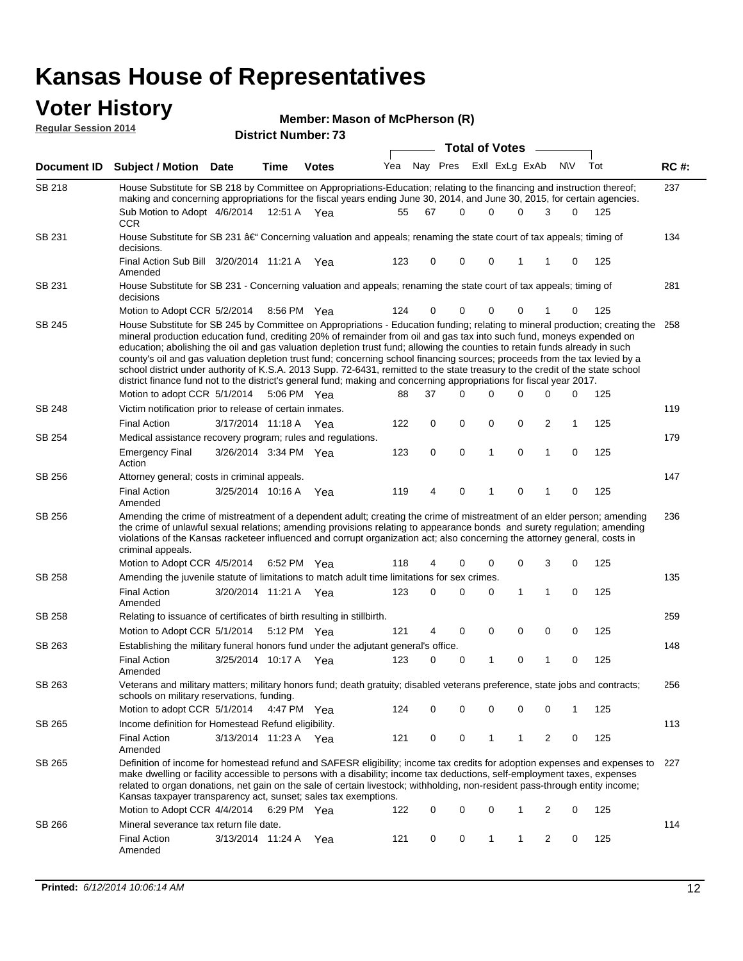#### **Voter History Regular Session 2014**

#### **Member: Mason of McPherson (R)**

|               |                                                                                                                                                                                                                                                                                                                                                                                                                                                                                                                                                                                                                                                                                                                                                                                                                   |                       |             |              |     |             |          | <b>Total of Votes</b>   |              |                |              |     |             |
|---------------|-------------------------------------------------------------------------------------------------------------------------------------------------------------------------------------------------------------------------------------------------------------------------------------------------------------------------------------------------------------------------------------------------------------------------------------------------------------------------------------------------------------------------------------------------------------------------------------------------------------------------------------------------------------------------------------------------------------------------------------------------------------------------------------------------------------------|-----------------------|-------------|--------------|-----|-------------|----------|-------------------------|--------------|----------------|--------------|-----|-------------|
|               | Document ID Subject / Motion Date                                                                                                                                                                                                                                                                                                                                                                                                                                                                                                                                                                                                                                                                                                                                                                                 |                       | Time        | <b>Votes</b> | Yea |             |          | Nay Pres Exll ExLg ExAb |              |                | <b>NV</b>    | Tot | <b>RC#:</b> |
| SB 218        | House Substitute for SB 218 by Committee on Appropriations-Education; relating to the financing and instruction thereof;                                                                                                                                                                                                                                                                                                                                                                                                                                                                                                                                                                                                                                                                                          |                       |             |              |     |             |          |                         |              |                |              |     | 237         |
|               | making and concerning appropriations for the fiscal years ending June 30, 2014, and June 30, 2015, for certain agencies.<br>Sub Motion to Adopt 4/6/2014                                                                                                                                                                                                                                                                                                                                                                                                                                                                                                                                                                                                                                                          |                       | 12:51 A Yea |              | 55  | 67          | 0        | $\Omega$                | $\Omega$     | 3              | 0            | 125 |             |
| SB 231        | <b>CCR</b><br>House Substitute for SB 231 †Concerning valuation and appeals; renaming the state court of tax appeals; timing of<br>decisions.                                                                                                                                                                                                                                                                                                                                                                                                                                                                                                                                                                                                                                                                     |                       |             |              |     |             |          |                         |              |                |              |     | 134         |
|               | Final Action Sub Bill 3/20/2014 11:21 A Yea<br>Amended                                                                                                                                                                                                                                                                                                                                                                                                                                                                                                                                                                                                                                                                                                                                                            |                       |             |              | 123 | 0           | 0        | $\mathbf 0$             | 1            | 1              | 0            | 125 |             |
| SB 231        | House Substitute for SB 231 - Concerning valuation and appeals; renaming the state court of tax appeals; timing of<br>decisions                                                                                                                                                                                                                                                                                                                                                                                                                                                                                                                                                                                                                                                                                   |                       |             |              |     |             |          |                         |              |                |              |     | 281         |
|               | Motion to Adopt CCR 5/2/2014                                                                                                                                                                                                                                                                                                                                                                                                                                                                                                                                                                                                                                                                                                                                                                                      |                       |             | 8:56 PM Yea  | 124 | 0           | 0        | $\Omega$                | 0            |                | 0            | 125 |             |
| SB 245        | House Substitute for SB 245 by Committee on Appropriations - Education funding; relating to mineral production; creating the 258<br>mineral production education fund, crediting 20% of remainder from oil and gas tax into such fund, moneys expended on<br>education; abolishing the oil and gas valuation depletion trust fund; allowing the counties to retain funds already in such<br>county's oil and gas valuation depletion trust fund; concerning school financing sources; proceeds from the tax levied by a<br>school district under authority of K.S.A. 2013 Supp. 72-6431, remitted to the state treasury to the credit of the state school<br>district finance fund not to the district's general fund; making and concerning appropriations for fiscal year 2017.<br>Motion to adopt CCR 5/1/2014 |                       |             | 5:06 PM Yea  | 88  | 37          | $\Omega$ | $\Omega$                | 0            | 0              | 0            | 125 |             |
|               |                                                                                                                                                                                                                                                                                                                                                                                                                                                                                                                                                                                                                                                                                                                                                                                                                   |                       |             |              |     |             |          |                         |              |                |              |     |             |
| <b>SB 248</b> | Victim notification prior to release of certain inmates.<br><b>Final Action</b>                                                                                                                                                                                                                                                                                                                                                                                                                                                                                                                                                                                                                                                                                                                                   |                       |             |              |     |             |          |                         |              |                |              |     | 119         |
|               |                                                                                                                                                                                                                                                                                                                                                                                                                                                                                                                                                                                                                                                                                                                                                                                                                   | 3/17/2014 11:18 A Yea |             |              | 122 | 0           | 0        | 0                       | 0            | 2              | $\mathbf{1}$ | 125 |             |
| SB 254        | Medical assistance recovery program; rules and regulations.                                                                                                                                                                                                                                                                                                                                                                                                                                                                                                                                                                                                                                                                                                                                                       |                       |             |              |     |             |          |                         |              |                |              |     | 179         |
|               | <b>Emergency Final</b><br>Action                                                                                                                                                                                                                                                                                                                                                                                                                                                                                                                                                                                                                                                                                                                                                                                  | 3/26/2014 3:34 PM Yea |             |              | 123 | $\mathbf 0$ | 0        | $\mathbf{1}$            | $\mathbf 0$  | $\mathbf{1}$   | 0            | 125 |             |
| SB 256        | Attorney general; costs in criminal appeals.                                                                                                                                                                                                                                                                                                                                                                                                                                                                                                                                                                                                                                                                                                                                                                      |                       |             |              |     |             |          |                         |              |                |              |     | 147         |
|               | <b>Final Action</b><br>Amended                                                                                                                                                                                                                                                                                                                                                                                                                                                                                                                                                                                                                                                                                                                                                                                    | 3/25/2014 10:16 A     |             | Yea          | 119 | 4           | 0        | 1                       | 0            | 1              | 0            | 125 |             |
| SB 256        | Amending the crime of mistreatment of a dependent adult; creating the crime of mistreatment of an elder person; amending<br>the crime of unlawful sexual relations; amending provisions relating to appearance bonds and surety regulation; amending<br>violations of the Kansas racketeer influenced and corrupt organization act; also concerning the attorney general, costs in<br>criminal appeals.                                                                                                                                                                                                                                                                                                                                                                                                           |                       |             |              |     |             |          |                         |              |                |              |     | 236         |
|               | Motion to Adopt CCR 4/5/2014 6:52 PM Yea                                                                                                                                                                                                                                                                                                                                                                                                                                                                                                                                                                                                                                                                                                                                                                          |                       |             |              | 118 | 4           | 0        | 0                       | 0            | 3              | 0            | 125 |             |
| SB 258        | Amending the juvenile statute of limitations to match adult time limitations for sex crimes.                                                                                                                                                                                                                                                                                                                                                                                                                                                                                                                                                                                                                                                                                                                      |                       |             |              |     |             |          |                         |              |                |              |     | 135         |
|               | <b>Final Action</b><br>Amended                                                                                                                                                                                                                                                                                                                                                                                                                                                                                                                                                                                                                                                                                                                                                                                    | 3/20/2014 11:21 A Yea |             |              | 123 | 0           | 0        | 0                       | 1            | 1              | 0            | 125 |             |
| SB 258        | Relating to issuance of certificates of birth resulting in stillbirth.                                                                                                                                                                                                                                                                                                                                                                                                                                                                                                                                                                                                                                                                                                                                            |                       |             |              |     |             |          |                         |              |                |              |     | 259         |
|               | Motion to Adopt CCR 5/1/2014 5:12 PM Yea                                                                                                                                                                                                                                                                                                                                                                                                                                                                                                                                                                                                                                                                                                                                                                          |                       |             |              | 121 | 4           | 0        | 0                       | 0            | 0              | 0            | 125 |             |
| SB 263        | Establishing the military funeral honors fund under the adjutant general's office.                                                                                                                                                                                                                                                                                                                                                                                                                                                                                                                                                                                                                                                                                                                                |                       |             |              |     |             |          |                         |              |                |              |     | 148         |
|               | <b>Final Action</b><br>Amended                                                                                                                                                                                                                                                                                                                                                                                                                                                                                                                                                                                                                                                                                                                                                                                    | 3/25/2014 10:17 A Yea |             |              | 123 | 0           | 0        | $\mathbf{1}$            | 0            | 1              | 0            | 125 |             |
| SB 263        | Veterans and military matters; military honors fund; death gratuity; disabled veterans preference, state jobs and contracts;<br>schools on military reservations, funding.                                                                                                                                                                                                                                                                                                                                                                                                                                                                                                                                                                                                                                        |                       |             |              |     |             |          |                         |              |                |              |     | 256         |
|               | Motion to adopt CCR 5/1/2014 4:47 PM Yea                                                                                                                                                                                                                                                                                                                                                                                                                                                                                                                                                                                                                                                                                                                                                                          |                       |             |              | 124 | 0           | 0        | 0                       | 0            | 0              | 1            | 125 |             |
| SB 265        | Income definition for Homestead Refund eligibility.                                                                                                                                                                                                                                                                                                                                                                                                                                                                                                                                                                                                                                                                                                                                                               |                       |             |              |     |             |          |                         |              |                |              |     | 113         |
|               | <b>Final Action</b><br>Amended                                                                                                                                                                                                                                                                                                                                                                                                                                                                                                                                                                                                                                                                                                                                                                                    | 3/13/2014 11:23 A Yea |             |              | 121 | 0           | 0        | 1                       | $\mathbf{1}$ | 2              | 0            | 125 |             |
| SB 265        | Definition of income for homestead refund and SAFESR eligibility; income tax credits for adoption expenses and expenses to 227<br>make dwelling or facility accessible to persons with a disability; income tax deductions, self-employment taxes, expenses<br>related to organ donations, net gain on the sale of certain livestock; withholding, non-resident pass-through entity income;<br>Kansas taxpayer transparency act, sunset; sales tax exemptions.                                                                                                                                                                                                                                                                                                                                                    |                       |             |              |     |             |          |                         |              |                |              |     |             |
|               | Motion to Adopt CCR 4/4/2014 6:29 PM Yea                                                                                                                                                                                                                                                                                                                                                                                                                                                                                                                                                                                                                                                                                                                                                                          |                       |             |              | 122 | 0           | 0        | 0                       | 1            | 2              | 0            | 125 |             |
| SB 266        | Mineral severance tax return file date.                                                                                                                                                                                                                                                                                                                                                                                                                                                                                                                                                                                                                                                                                                                                                                           |                       |             |              |     |             |          |                         |              |                |              |     | 114         |
|               | <b>Final Action</b><br>Amended                                                                                                                                                                                                                                                                                                                                                                                                                                                                                                                                                                                                                                                                                                                                                                                    | 3/13/2014 11:24 A     |             | Yea          | 121 | 0           | 0        | 1                       | 1            | $\overline{2}$ | 0            | 125 |             |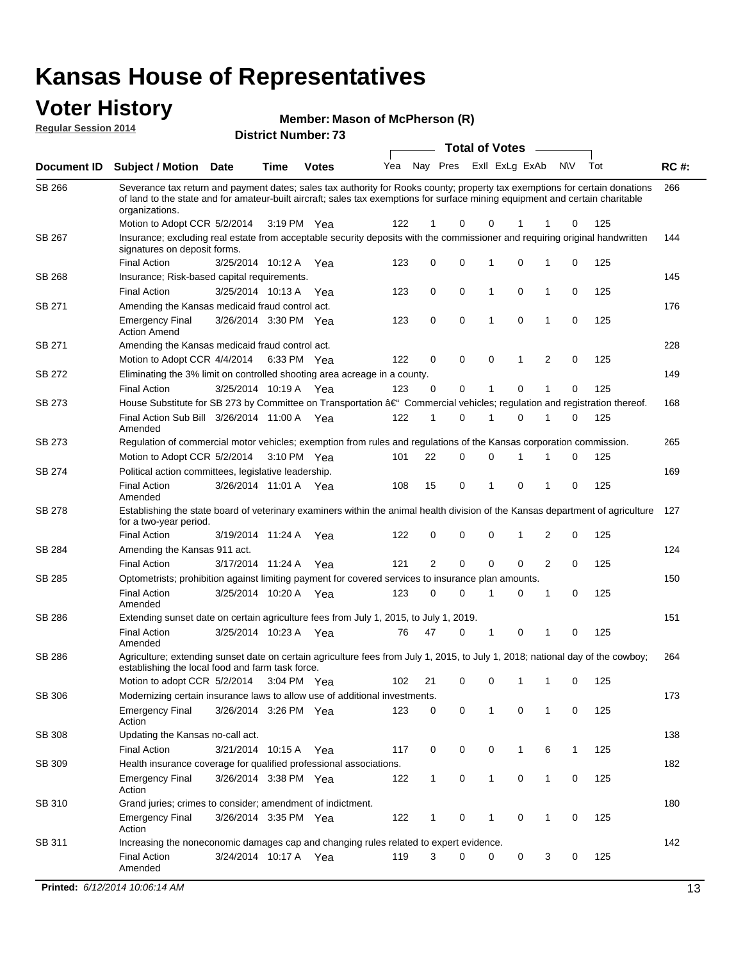### **Voter History**

**Regular Session 2014**

#### **Member: Mason of McPherson (R)**

| <b>District Number: 73</b> |
|----------------------------|
|                            |

|               |                                                                                                                                                                                                                                                                                |                       |             |                       |     |                |             | <b>Total of Votes</b> |                |             |              |   |     |             |
|---------------|--------------------------------------------------------------------------------------------------------------------------------------------------------------------------------------------------------------------------------------------------------------------------------|-----------------------|-------------|-----------------------|-----|----------------|-------------|-----------------------|----------------|-------------|--------------|---|-----|-------------|
|               | Document ID Subject / Motion Date                                                                                                                                                                                                                                              |                       | Time        | <b>Votes</b>          | Yea | Nay Pres       |             |                       | Exll ExLg ExAb |             | <b>NV</b>    |   | Tot | <b>RC#:</b> |
| SB 266        | Severance tax return and payment dates; sales tax authority for Rooks county; property tax exemptions for certain donations<br>of land to the state and for amateur-built aircraft; sales tax exemptions for surface mining equipment and certain charitable<br>organizations. |                       |             |                       |     |                |             |                       |                |             |              |   |     | 266         |
|               | Motion to Adopt CCR 5/2/2014                                                                                                                                                                                                                                                   |                       |             | 3:19 PM Yea           | 122 | 1              | 0           | $\mathbf 0$           |                |             |              | 0 | 125 |             |
| SB 267        | Insurance; excluding real estate from acceptable security deposits with the commissioner and requiring original handwritten<br>signatures on deposit forms.                                                                                                                    |                       |             |                       |     |                |             |                       |                |             |              |   |     | 144         |
|               | <b>Final Action</b>                                                                                                                                                                                                                                                            | 3/25/2014 10:12 A     |             | Yea                   | 123 | 0              | 0           | 1                     |                | 0           | 1            | 0 | 125 |             |
| SB 268        | Insurance; Risk-based capital requirements.                                                                                                                                                                                                                                    |                       |             |                       |     |                |             |                       |                |             |              |   |     | 145         |
|               | <b>Final Action</b>                                                                                                                                                                                                                                                            | 3/25/2014 10:13 A     |             | Yea                   | 123 | 0              | 0           | 1                     |                | 0           | $\mathbf{1}$ | 0 | 125 |             |
| SB 271        | Amending the Kansas medicaid fraud control act.                                                                                                                                                                                                                                |                       |             |                       |     |                |             |                       |                |             |              |   |     | 176         |
|               | <b>Emergency Final</b><br><b>Action Amend</b>                                                                                                                                                                                                                                  | 3/26/2014 3:30 PM Yea |             |                       | 123 | 0              | $\mathbf 0$ | 1                     |                | $\mathbf 0$ | 1            | 0 | 125 |             |
| SB 271        | Amending the Kansas medicaid fraud control act.                                                                                                                                                                                                                                |                       |             |                       |     |                |             |                       |                |             |              |   |     | 228         |
|               | Motion to Adopt CCR 4/4/2014                                                                                                                                                                                                                                                   |                       | 6:33 PM Yea |                       | 122 | 0              | 0           | $\mathbf 0$           |                | 1           | 2            | 0 | 125 |             |
| SB 272        | Eliminating the 3% limit on controlled shooting area acreage in a county.                                                                                                                                                                                                      |                       |             |                       |     |                |             |                       |                |             |              |   |     | 149         |
|               | <b>Final Action</b>                                                                                                                                                                                                                                                            | 3/25/2014 10:19 A Yea |             |                       | 123 | 0              | 0           | 1                     |                | 0           | 1            | 0 | 125 |             |
| SB 273        | House Substitute for SB 273 by Committee on Transportation †Commercial vehicles; regulation and registration thereof.                                                                                                                                                          |                       |             |                       |     |                |             |                       |                |             |              |   |     | 168         |
|               | Final Action Sub Bill 3/26/2014 11:00 A Yea<br>Amended                                                                                                                                                                                                                         |                       |             |                       | 122 | 1              | $\mathbf 0$ |                       | 1              | 0           | 1            | 0 | 125 |             |
| SB 273        | Regulation of commercial motor vehicles; exemption from rules and regulations of the Kansas corporation commission.                                                                                                                                                            |                       |             |                       |     |                |             |                       |                |             |              |   |     | 265         |
|               | Motion to Adopt CCR 5/2/2014                                                                                                                                                                                                                                                   |                       |             | $3:10 \text{ PM}$ Yea | 101 | 22             | $\mathbf 0$ |                       | 0              |             |              | 0 | 125 |             |
| SB 274        | Political action committees, legislative leadership.                                                                                                                                                                                                                           |                       |             |                       |     |                |             |                       |                |             |              |   |     | 169         |
|               | <b>Final Action</b><br>Amended                                                                                                                                                                                                                                                 | 3/26/2014 11:01 A Yea |             |                       | 108 | 15             | 0           | 1                     |                | 0           | 1            | 0 | 125 |             |
| SB 278        | Establishing the state board of veterinary examiners within the animal health division of the Kansas department of agriculture<br>for a two-year period.                                                                                                                       |                       |             |                       |     |                |             |                       |                |             |              |   |     | 127         |
|               | <b>Final Action</b>                                                                                                                                                                                                                                                            | 3/19/2014 11:24 A     |             | Yea                   | 122 | 0              | 0           | 0                     |                |             | 2            | 0 | 125 |             |
| SB 284        | Amending the Kansas 911 act.                                                                                                                                                                                                                                                   |                       |             |                       |     |                |             |                       |                |             |              |   |     | 124         |
|               | <b>Final Action</b>                                                                                                                                                                                                                                                            | 3/17/2014 11:24 A     |             | Yea                   | 121 | $\overline{2}$ | $\mathbf 0$ | $\mathbf 0$           |                | 0           | 2            | 0 | 125 |             |
| SB 285        | Optometrists; prohibition against limiting payment for covered services to insurance plan amounts.                                                                                                                                                                             |                       |             |                       |     |                |             |                       |                |             |              |   |     | 150         |
|               | <b>Final Action</b><br>Amended                                                                                                                                                                                                                                                 | 3/25/2014 10:20 A     |             | Yea                   | 123 | 0              | $\mathbf 0$ | 1                     |                | 0           | 1            | 0 | 125 |             |
| SB 286        | Extending sunset date on certain agriculture fees from July 1, 2015, to July 1, 2019.                                                                                                                                                                                          |                       |             |                       |     |                |             |                       |                |             |              |   |     | 151         |
|               | <b>Final Action</b><br>Amended                                                                                                                                                                                                                                                 | 3/25/2014 10:23 A Yea |             |                       | 76  | 47             | 0           | 1                     |                | 0           | 1            | 0 | 125 |             |
| SB 286        | Agriculture; extending sunset date on certain agriculture fees from July 1, 2015, to July 1, 2018; national day of the cowboy;<br>establishing the local food and farm task force.                                                                                             |                       |             |                       |     |                |             |                       |                |             |              |   |     | 264         |
|               | Motion to adopt CCR 5/2/2014                                                                                                                                                                                                                                                   |                       |             | 3:04 PM Yea           | 102 | 21             | 0           |                       | 0              | 1           | 1            | 0 | 125 |             |
| SB 306        | Modernizing certain insurance laws to allow use of additional investments.                                                                                                                                                                                                     |                       |             |                       |     |                |             |                       |                |             |              |   |     | 173         |
|               | <b>Emergency Final</b><br>Action                                                                                                                                                                                                                                               | 3/26/2014 3:26 PM Yea |             |                       | 123 | 0              | 0           |                       | 1              | 0           | 1            | 0 | 125 |             |
| SB 308        | Updating the Kansas no-call act.                                                                                                                                                                                                                                               |                       |             |                       |     |                |             |                       |                |             |              |   |     | 138         |
|               | <b>Final Action</b>                                                                                                                                                                                                                                                            | 3/21/2014 10:15 A     |             | Yea                   | 117 | 0              | 0           |                       | 0              | 1           | 6            | 1 | 125 |             |
| SB 309        | Health insurance coverage for qualified professional associations.                                                                                                                                                                                                             |                       |             |                       |     |                |             |                       |                |             |              |   |     | 182         |
|               | <b>Emergency Final</b><br>Action                                                                                                                                                                                                                                               | 3/26/2014 3:38 PM Yea |             |                       | 122 | 1              | 0           |                       | 1              | 0           | $\mathbf{1}$ | 0 | 125 |             |
| <b>SB 310</b> | Grand juries; crimes to consider; amendment of indictment.                                                                                                                                                                                                                     |                       |             |                       |     |                |             |                       |                |             |              |   |     | 180         |
|               | <b>Emergency Final</b><br>Action                                                                                                                                                                                                                                               | 3/26/2014 3:35 PM Yea |             |                       | 122 | 1              | 0           |                       | 1              | 0           | 1            | 0 | 125 |             |
| SB 311        | Increasing the noneconomic damages cap and changing rules related to expert evidence.                                                                                                                                                                                          |                       |             |                       |     |                |             |                       |                |             |              |   |     | 142         |
|               | <b>Final Action</b><br>Amended                                                                                                                                                                                                                                                 | 3/24/2014 10:17 A Yea |             |                       | 119 | 3              | 0           |                       | 0              | 0           | 3            | 0 | 125 |             |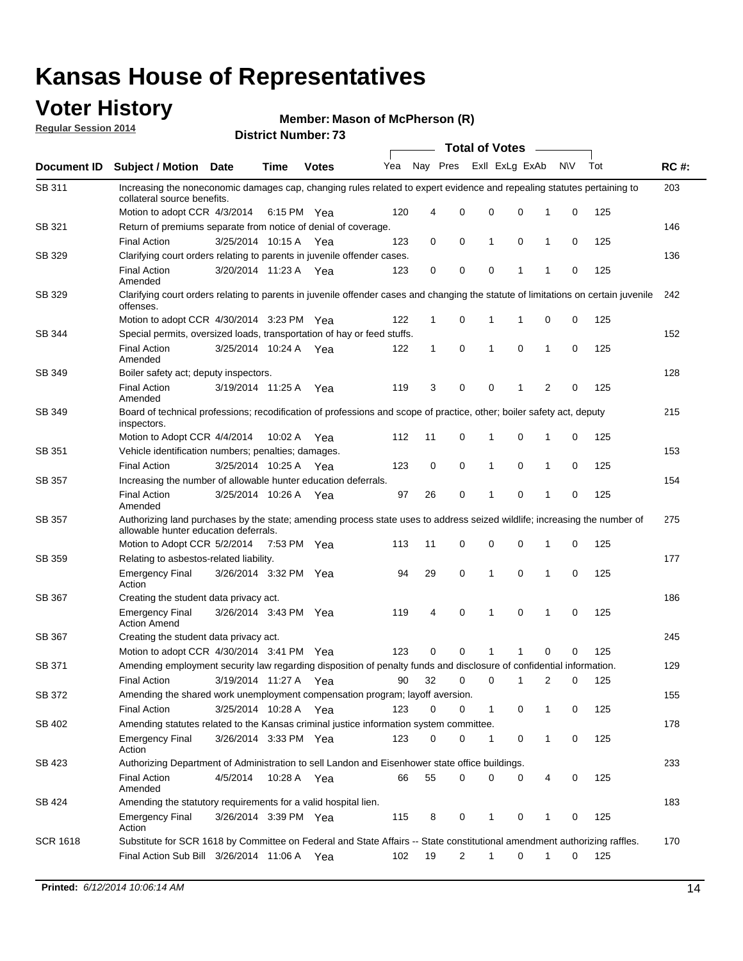### **Voter History**

**Regular Session 2014**

#### **Member: Mason of McPherson (R)**

|                    |                                                                                                                                                                    | <b>DISTING MAILINGLE</b> |             | <b>Total of Votes</b><br>$\sim$ |     |              |                |              |                |              |           |     |             |  |  |  |  |  |  |  |  |
|--------------------|--------------------------------------------------------------------------------------------------------------------------------------------------------------------|--------------------------|-------------|---------------------------------|-----|--------------|----------------|--------------|----------------|--------------|-----------|-----|-------------|--|--|--|--|--|--|--|--|
| <b>Document ID</b> | <b>Subject / Motion Date</b>                                                                                                                                       |                          | <b>Time</b> | <b>Votes</b>                    | Yea |              | Nay Pres       |              | Exll ExLg ExAb |              | <b>NV</b> | Tot | <b>RC#:</b> |  |  |  |  |  |  |  |  |
| SB 311             | Increasing the noneconomic damages cap, changing rules related to expert evidence and repealing statutes pertaining to<br>collateral source benefits.              |                          |             |                                 |     |              |                |              |                |              |           |     | 203         |  |  |  |  |  |  |  |  |
|                    | Motion to adopt CCR 4/3/2014 6:15 PM Yea                                                                                                                           |                          |             |                                 | 120 | 4            | 0              | 0            | $\mathbf 0$    | 1            | 0         | 125 |             |  |  |  |  |  |  |  |  |
| SB 321             | Return of premiums separate from notice of denial of coverage.                                                                                                     |                          |             |                                 |     |              |                |              |                |              |           |     | 146         |  |  |  |  |  |  |  |  |
|                    | <b>Final Action</b>                                                                                                                                                | 3/25/2014 10:15 A        |             | Yea                             | 123 | 0            | 0              | 1            | 0              | 1            | 0         | 125 |             |  |  |  |  |  |  |  |  |
| SB 329             | Clarifying court orders relating to parents in juvenile offender cases.                                                                                            |                          |             |                                 |     |              |                |              |                |              |           |     | 136         |  |  |  |  |  |  |  |  |
|                    | <b>Final Action</b><br>Amended                                                                                                                                     | 3/20/2014 11:23 A        |             | Yea                             | 123 | 0            | 0              | 0            | 1              | 1            | 0         | 125 |             |  |  |  |  |  |  |  |  |
| SB 329             | Clarifying court orders relating to parents in juvenile offender cases and changing the statute of limitations on certain juvenile<br>offenses.                    |                          |             |                                 |     |              |                |              |                |              |           |     | 242         |  |  |  |  |  |  |  |  |
|                    | Motion to adopt CCR 4/30/2014 3:23 PM Yea                                                                                                                          |                          |             |                                 | 122 | 1            | 0              | 1            | 1              | 0            | 0         | 125 |             |  |  |  |  |  |  |  |  |
| SB 344             | Special permits, oversized loads, transportation of hay or feed stuffs.                                                                                            |                          |             |                                 |     |              |                |              |                |              |           |     | 152         |  |  |  |  |  |  |  |  |
|                    | <b>Final Action</b><br>Amended                                                                                                                                     | 3/25/2014 10:24 A Yea    |             |                                 | 122 | $\mathbf{1}$ | 0              | 1            | $\mathbf 0$    | 1            | 0         | 125 |             |  |  |  |  |  |  |  |  |
| SB 349             | Boiler safety act; deputy inspectors.                                                                                                                              |                          |             |                                 |     |              |                |              |                |              |           |     | 128         |  |  |  |  |  |  |  |  |
|                    | <b>Final Action</b><br>Amended                                                                                                                                     | 3/19/2014 11:25 A        |             | Yea                             | 119 | 3            | 0              | 0            | 1              | 2            | 0         | 125 |             |  |  |  |  |  |  |  |  |
| SB 349             | Board of technical professions; recodification of professions and scope of practice, other; boiler safety act, deputy<br>inspectors.                               |                          |             |                                 |     |              |                |              |                |              |           |     | 215         |  |  |  |  |  |  |  |  |
|                    | Motion to Adopt CCR 4/4/2014                                                                                                                                       |                          | 10:02 A     | Yea                             | 112 | 11           | 0              | 1            | $\mathbf 0$    | 1            | 0         | 125 |             |  |  |  |  |  |  |  |  |
| SB 351             | Vehicle identification numbers; penalties; damages.                                                                                                                |                          |             |                                 |     |              |                |              |                |              |           |     | 153         |  |  |  |  |  |  |  |  |
|                    | <b>Final Action</b>                                                                                                                                                | 3/25/2014 10:25 A        |             | Yea                             | 123 | 0            | 0              | 1            | $\mathbf 0$    | 1            | 0         | 125 |             |  |  |  |  |  |  |  |  |
| SB 357             | Increasing the number of allowable hunter education deferrals.                                                                                                     |                          |             |                                 |     |              |                |              |                |              |           |     | 154         |  |  |  |  |  |  |  |  |
|                    | <b>Final Action</b><br>Amended                                                                                                                                     | 3/25/2014 10:26 A Yea    |             |                                 | 97  | 26           | 0              | 1            | $\mathbf 0$    | 1            | 0         | 125 |             |  |  |  |  |  |  |  |  |
| SB 357             | Authorizing land purchases by the state; amending process state uses to address seized wildlife; increasing the number of<br>allowable hunter education deferrals. |                          |             |                                 |     |              |                |              |                |              |           |     | 275         |  |  |  |  |  |  |  |  |
|                    | Motion to Adopt CCR 5/2/2014 7:53 PM Yea                                                                                                                           |                          |             |                                 | 113 | 11           | 0              | 0            | 0              | 1            | 0         | 125 |             |  |  |  |  |  |  |  |  |
| SB 359             | Relating to asbestos-related liability.                                                                                                                            |                          |             |                                 |     |              |                |              |                |              |           |     | 177         |  |  |  |  |  |  |  |  |
|                    | <b>Emergency Final</b><br>Action                                                                                                                                   | 3/26/2014 3:32 PM Yea    |             |                                 | 94  | 29           | 0              | 1            | 0              | 1            | 0         | 125 |             |  |  |  |  |  |  |  |  |
| SB 367             | Creating the student data privacy act.                                                                                                                             |                          |             |                                 |     |              |                |              |                |              |           |     | 186         |  |  |  |  |  |  |  |  |
|                    | <b>Emergency Final</b><br><b>Action Amend</b>                                                                                                                      | 3/26/2014 3:43 PM Yea    |             |                                 | 119 | 4            | 0              | 1            | $\mathbf 0$    | 1            | 0         | 125 |             |  |  |  |  |  |  |  |  |
| SB 367             | Creating the student data privacy act.                                                                                                                             |                          |             |                                 |     |              |                |              |                |              |           |     | 245         |  |  |  |  |  |  |  |  |
|                    | Motion to adopt CCR 4/30/2014 3:41 PM Yea                                                                                                                          |                          |             |                                 | 123 | 0            | 0              | 1            | 1              | $\mathbf 0$  | 0         | 125 |             |  |  |  |  |  |  |  |  |
| SB 371             | Amending employment security law regarding disposition of penalty funds and disclosure of confidential information.                                                |                          |             |                                 |     |              |                |              |                |              |           |     | 129         |  |  |  |  |  |  |  |  |
|                    | Final Action 3/19/2014 11:27 A Yea 90 32 0 0 1                                                                                                                     |                          |             |                                 |     |              |                |              |                |              |           |     |             |  |  |  |  |  |  |  |  |
| SB 372             | Amending the shared work unemployment compensation program; layoff aversion.                                                                                       |                          |             |                                 |     |              |                |              |                |              |           |     | 155         |  |  |  |  |  |  |  |  |
|                    | <b>Final Action</b>                                                                                                                                                | 3/25/2014 10:28 A Yea    |             |                                 | 123 | 0            | 0              | $\mathbf{1}$ | 0              | 1            | 0         | 125 |             |  |  |  |  |  |  |  |  |
| SB 402             | Amending statutes related to the Kansas criminal justice information system committee.                                                                             |                          |             |                                 |     |              |                |              |                |              |           |     | 178         |  |  |  |  |  |  |  |  |
|                    | <b>Emergency Final</b><br>Action                                                                                                                                   | 3/26/2014 3:33 PM Yea    |             |                                 | 123 | 0            | 0              | 1            | 0              | 1            | 0         | 125 |             |  |  |  |  |  |  |  |  |
| SB 423             | Authorizing Department of Administration to sell Landon and Eisenhower state office buildings.                                                                     |                          |             |                                 |     |              |                |              |                |              |           |     | 233         |  |  |  |  |  |  |  |  |
|                    | <b>Final Action</b><br>Amended                                                                                                                                     | 4/5/2014                 | 10:28 A Yea |                                 | 66  | 55           | 0              | 0            | 0              | 4            | 0         | 125 |             |  |  |  |  |  |  |  |  |
| SB 424             | Amending the statutory requirements for a valid hospital lien.                                                                                                     |                          |             |                                 |     |              |                |              |                |              |           |     | 183         |  |  |  |  |  |  |  |  |
|                    | <b>Emergency Final</b><br>Action                                                                                                                                   | 3/26/2014 3:39 PM Yea    |             |                                 | 115 | 8            | 0              | 1            | 0              | 1            | 0         | 125 |             |  |  |  |  |  |  |  |  |
| <b>SCR 1618</b>    | Substitute for SCR 1618 by Committee on Federal and State Affairs -- State constitutional amendment authorizing raffles.                                           |                          |             |                                 |     |              |                |              |                |              |           |     | 170         |  |  |  |  |  |  |  |  |
|                    | Final Action Sub Bill 3/26/2014 11:06 A Yea                                                                                                                        |                          |             |                                 | 102 | 19           | $\overline{2}$ | $\mathbf{1}$ | 0              | $\mathbf{1}$ | 0         | 125 |             |  |  |  |  |  |  |  |  |